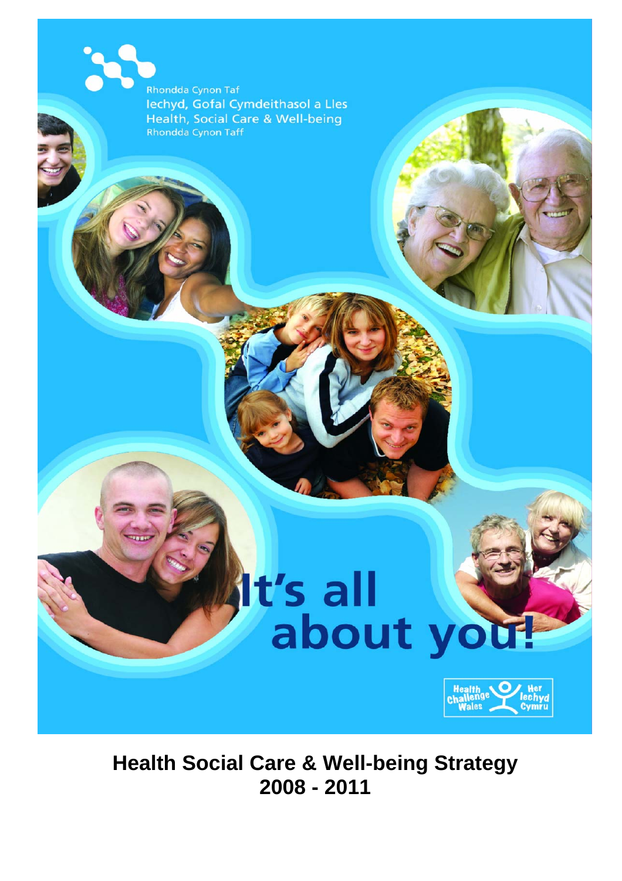Rhondda Cynon Taf lechyd, Gofal Cymdeithasol a Lles Health, Social Care & Well-being Rhondda Cynon Taff

# It's all<br>about you!



**Health Social Care & Well-being Strategy 2008 - 2011**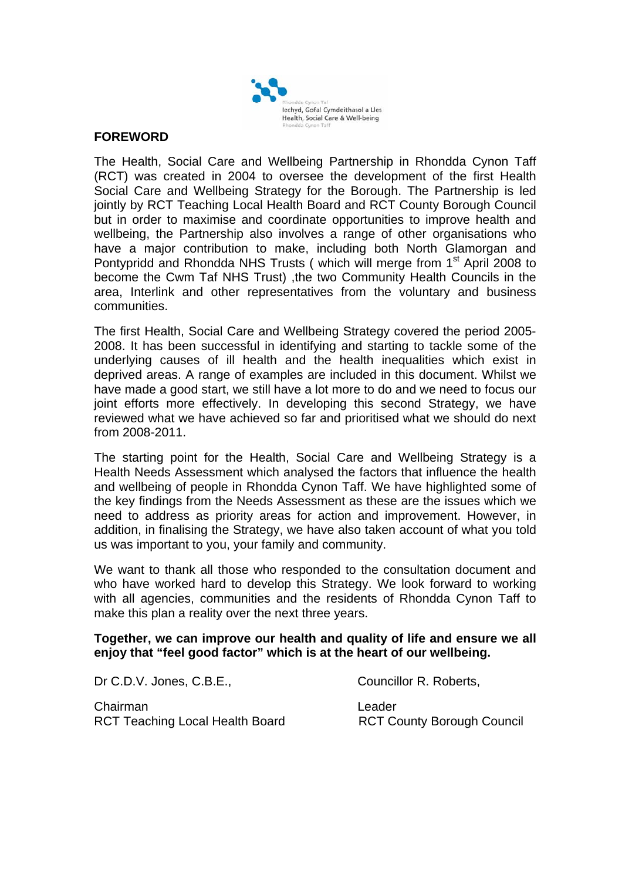

#### **FOREWORD**

The Health, Social Care and Wellbeing Partnership in Rhondda Cynon Taff (RCT) was created in 2004 to oversee the development of the first Health Social Care and Wellbeing Strategy for the Borough. The Partnership is led jointly by RCT Teaching Local Health Board and RCT County Borough Council but in order to maximise and coordinate opportunities to improve health and wellbeing, the Partnership also involves a range of other organisations who have a major contribution to make, including both North Glamorgan and Pontypridd and Rhondda NHS Trusts ( which will merge from 1<sup>st</sup> April 2008 to become the Cwm Taf NHS Trust) ,the two Community Health Councils in the area, Interlink and other representatives from the voluntary and business communities.

The first Health, Social Care and Wellbeing Strategy covered the period 2005- 2008. It has been successful in identifying and starting to tackle some of the underlying causes of ill health and the health inequalities which exist in deprived areas. A range of examples are included in this document. Whilst we have made a good start, we still have a lot more to do and we need to focus our joint efforts more effectively. In developing this second Strategy, we have reviewed what we have achieved so far and prioritised what we should do next from 2008-2011.

The starting point for the Health, Social Care and Wellbeing Strategy is a Health Needs Assessment which analysed the factors that influence the health and wellbeing of people in Rhondda Cynon Taff. We have highlighted some of the key findings from the Needs Assessment as these are the issues which we need to address as priority areas for action and improvement. However, in addition, in finalising the Strategy, we have also taken account of what you told us was important to you, your family and community.

We want to thank all those who responded to the consultation document and who have worked hard to develop this Strategy. We look forward to working with all agencies, communities and the residents of Rhondda Cynon Taff to make this plan a reality over the next three years.

#### **Together, we can improve our health and quality of life and ensure we all enjoy that "feel good factor" which is at the heart of our wellbeing.**

Dr C.D.V. Jones, C.B.E., Canadian Councillor R. Roberts,

Chairman Leader RCT Teaching Local Health Board RCT County Borough Council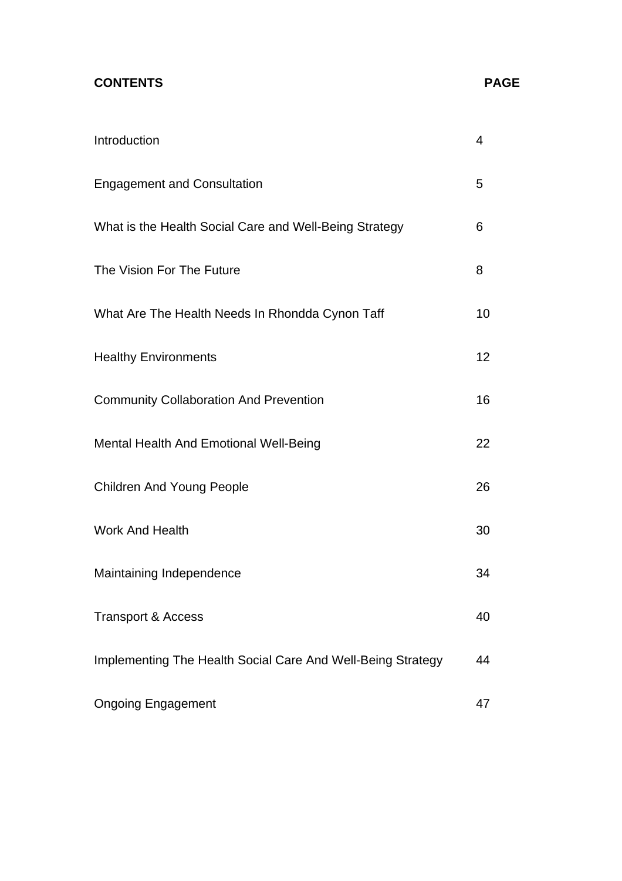## **CONTENTS**

| Introduction                                                | 4               |
|-------------------------------------------------------------|-----------------|
| <b>Engagement and Consultation</b>                          | 5               |
| What is the Health Social Care and Well-Being Strategy      | 6               |
| The Vision For The Future                                   | 8               |
| What Are The Health Needs In Rhondda Cynon Taff             | 10              |
| <b>Healthy Environments</b>                                 | 12 <sup>2</sup> |
| <b>Community Collaboration And Prevention</b>               | 16              |
| Mental Health And Emotional Well-Being                      | 22              |
| <b>Children And Young People</b>                            | 26              |
| <b>Work And Health</b>                                      | 30              |
| Maintaining Independence                                    | 34              |
| <b>Transport &amp; Access</b>                               | 40              |
| Implementing The Health Social Care And Well-Being Strategy | 44              |
| <b>Ongoing Engagement</b>                                   | 47              |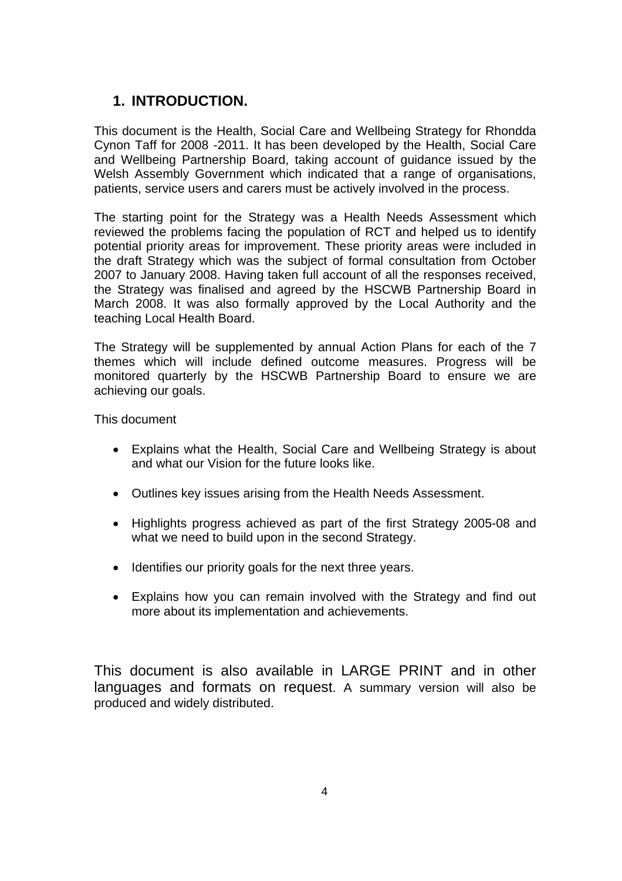## **1. INTRODUCTION.**

This document is the Health, Social Care and Wellbeing Strategy for Rhondda Cynon Taff for 2008 -2011. It has been developed by the Health, Social Care and Wellbeing Partnership Board, taking account of guidance issued by the Welsh Assembly Government which indicated that a range of organisations, patients, service users and carers must be actively involved in the process.

The starting point for the Strategy was a Health Needs Assessment which reviewed the problems facing the population of RCT and helped us to identify potential priority areas for improvement. These priority areas were included in the draft Strategy which was the subject of formal consultation from October 2007 to January 2008. Having taken full account of all the responses received, the Strategy was finalised and agreed by the HSCWB Partnership Board in March 2008. It was also formally approved by the Local Authority and the teaching Local Health Board.

The Strategy will be supplemented by annual Action Plans for each of the 7 themes which will include defined outcome measures. Progress will be monitored quarterly by the HSCWB Partnership Board to ensure we are achieving our goals.

This document

- Explains what the Health, Social Care and Wellbeing Strategy is about and what our Vision for the future looks like.
- Outlines key issues arising from the Health Needs Assessment.
- Highlights progress achieved as part of the first Strategy 2005-08 and what we need to build upon in the second Strategy.
- Identifies our priority goals for the next three years.
- Explains how you can remain involved with the Strategy and find out more about its implementation and achievements.

This document is also available in LARGE PRINT and in other languages and formats on request. A summary version will also be produced and widely distributed.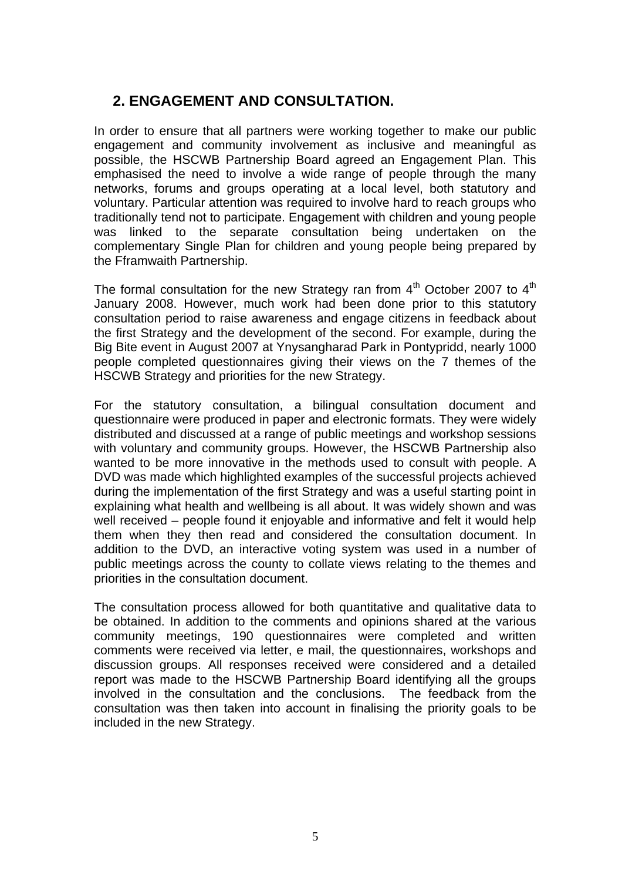# **2. ENGAGEMENT AND CONSULTATION.**

In order to ensure that all partners were working together to make our public engagement and community involvement as inclusive and meaningful as possible, the HSCWB Partnership Board agreed an Engagement Plan. This emphasised the need to involve a wide range of people through the many networks, forums and groups operating at a local level, both statutory and voluntary. Particular attention was required to involve hard to reach groups who traditionally tend not to participate. Engagement with children and young people was linked to the separate consultation being undertaken on the complementary Single Plan for children and young people being prepared by the Fframwaith Partnership.

The formal consultation for the new Strategy ran from  $4<sup>th</sup>$  October 2007 to  $4<sup>th</sup>$ January 2008. However, much work had been done prior to this statutory consultation period to raise awareness and engage citizens in feedback about the first Strategy and the development of the second. For example, during the Big Bite event in August 2007 at Ynysangharad Park in Pontypridd, nearly 1000 people completed questionnaires giving their views on the 7 themes of the HSCWB Strategy and priorities for the new Strategy.

For the statutory consultation, a bilingual consultation document and questionnaire were produced in paper and electronic formats. They were widely distributed and discussed at a range of public meetings and workshop sessions with voluntary and community groups. However, the HSCWB Partnership also wanted to be more innovative in the methods used to consult with people. A DVD was made which highlighted examples of the successful projects achieved during the implementation of the first Strategy and was a useful starting point in explaining what health and wellbeing is all about. It was widely shown and was well received – people found it enjoyable and informative and felt it would help them when they then read and considered the consultation document. In addition to the DVD, an interactive voting system was used in a number of public meetings across the county to collate views relating to the themes and priorities in the consultation document.

The consultation process allowed for both quantitative and qualitative data to be obtained. In addition to the comments and opinions shared at the various community meetings, 190 questionnaires were completed and written comments were received via letter, e mail, the questionnaires, workshops and discussion groups. All responses received were considered and a detailed report was made to the HSCWB Partnership Board identifying all the groups involved in the consultation and the conclusions. The feedback from the consultation was then taken into account in finalising the priority goals to be included in the new Strategy.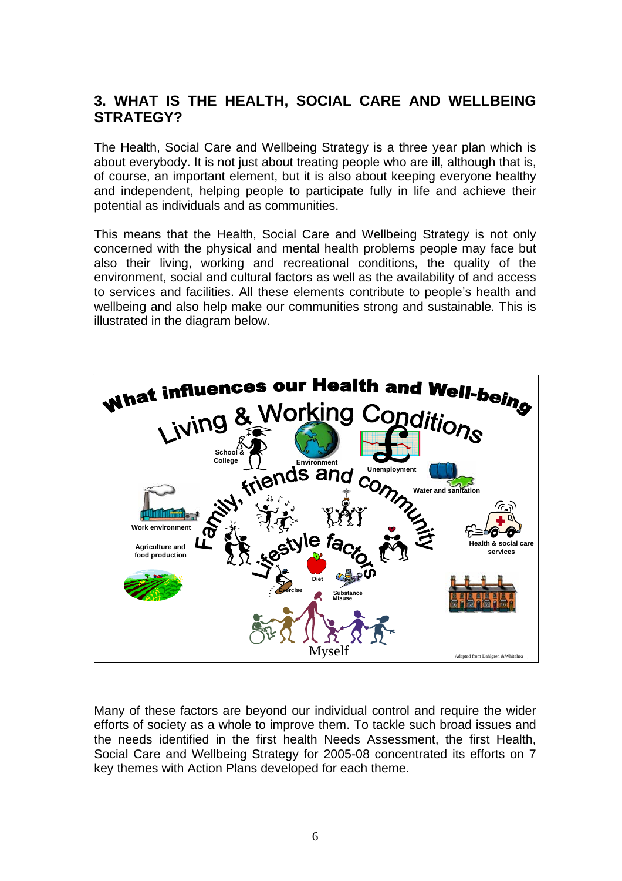# **3. WHAT IS THE HEALTH, SOCIAL CARE AND WELLBEING STRATEGY?**

The Health, Social Care and Wellbeing Strategy is a three year plan which is about everybody. It is not just about treating people who are ill, although that is, of course, an important element, but it is also about keeping everyone healthy and independent, helping people to participate fully in life and achieve their potential as individuals and as communities.

This means that the Health, Social Care and Wellbeing Strategy is not only concerned with the physical and mental health problems people may face but also their living, working and recreational conditions, the quality of the environment, social and cultural factors as well as the availability of and access to services and facilities. All these elements contribute to people's health and wellbeing and also help make our communities strong and sustainable. This is illustrated in the diagram below.



Many of these factors are beyond our individual control and require the wider efforts of society as a whole to improve them. To tackle such broad issues and the needs identified in the first health Needs Assessment, the first Health, Social Care and Wellbeing Strategy for 2005-08 concentrated its efforts on 7 key themes with Action Plans developed for each theme.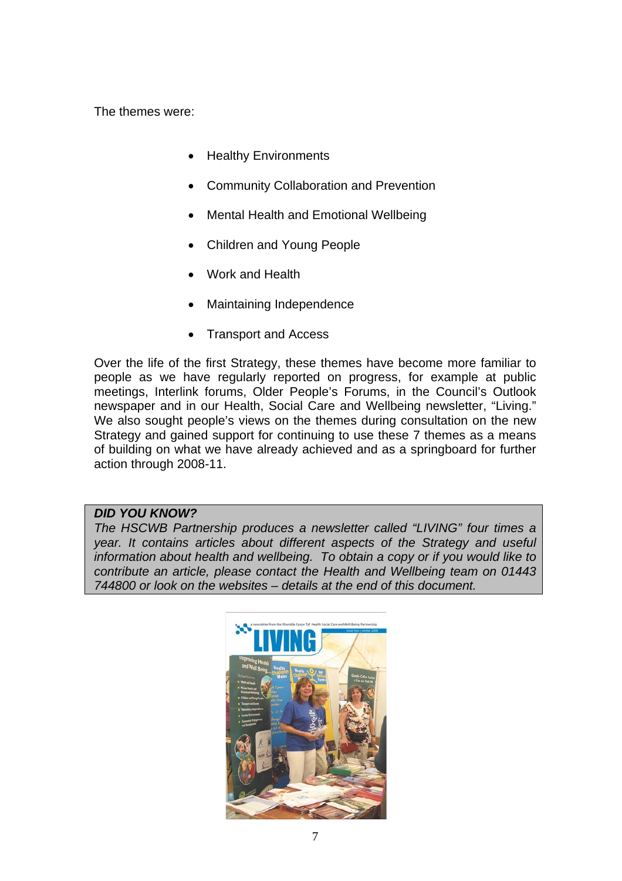The themes were:

- Healthy Environments
- Community Collaboration and Prevention
- Mental Health and Emotional Wellbeing
- Children and Young People
- Work and Health
- Maintaining Independence
- Transport and Access

Over the life of the first Strategy, these themes have become more familiar to people as we have regularly reported on progress, for example at public meetings, Interlink forums, Older People's Forums, in the Council's Outlook newspaper and in our Health, Social Care and Wellbeing newsletter, "Living." We also sought people's views on the themes during consultation on the new Strategy and gained support for continuing to use these 7 themes as a means of building on what we have already achieved and as a springboard for further action through 2008-11.

#### *DID YOU KNOW?*

*The HSCWB Partnership produces a newsletter called "LIVING" four times a year. It contains articles about different aspects of the Strategy and useful information about health and wellbeing. To obtain a copy or if you would like to contribute an article, please contact the Health and Wellbeing team on 01443 744800 or look on the websites – details at the end of this document.* 

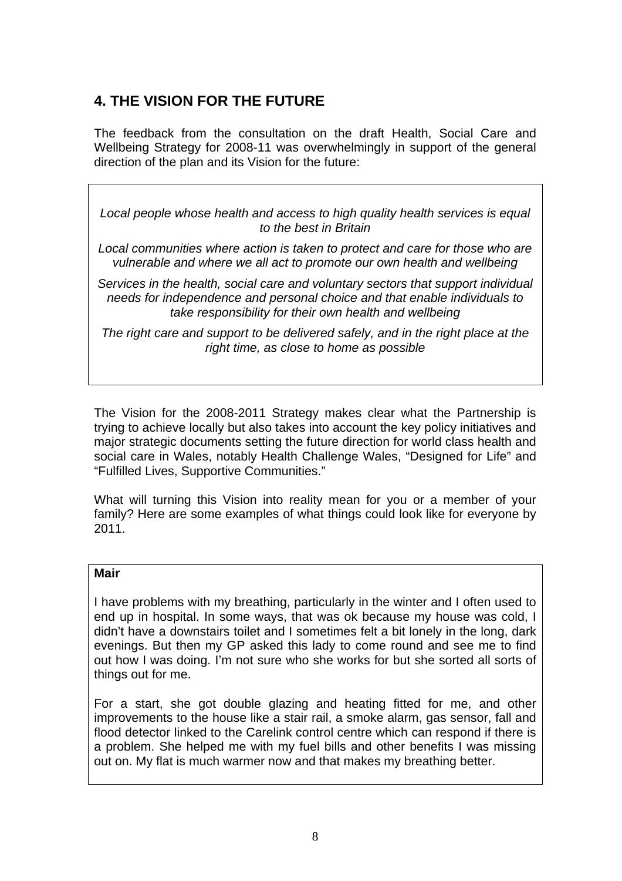# **4. THE VISION FOR THE FUTURE**

The feedback from the consultation on the draft Health, Social Care and Wellbeing Strategy for 2008-11 was overwhelmingly in support of the general direction of the plan and its Vision for the future:

*Local people whose health and access to high quality health services is equal to the best in Britain* 

*Local communities where action is taken to protect and care for those who are vulnerable and where we all act to promote our own health and wellbeing* 

*Services in the health, social care and voluntary sectors that support individual needs for independence and personal choice and that enable individuals to take responsibility for their own health and wellbeing* 

*The right care and support to be delivered safely, and in the right place at the right time, as close to home as possible*

The Vision for the 2008-2011 Strategy makes clear what the Partnership is trying to achieve locally but also takes into account the key policy initiatives and major strategic documents setting the future direction for world class health and social care in Wales, notably Health Challenge Wales, "Designed for Life" and "Fulfilled Lives, Supportive Communities."

What will turning this Vision into reality mean for you or a member of your family? Here are some examples of what things could look like for everyone by 2011.

#### **Mair**

I have problems with my breathing, particularly in the winter and I often used to end up in hospital. In some ways, that was ok because my house was cold, I didn't have a downstairs toilet and I sometimes felt a bit lonely in the long, dark evenings. But then my GP asked this lady to come round and see me to find out how I was doing. I'm not sure who she works for but she sorted all sorts of things out for me.

For a start, she got double glazing and heating fitted for me, and other improvements to the house like a stair rail, a smoke alarm, gas sensor, fall and flood detector linked to the Carelink control centre which can respond if there is a problem. She helped me with my fuel bills and other benefits I was missing out on. My flat is much warmer now and that makes my breathing better.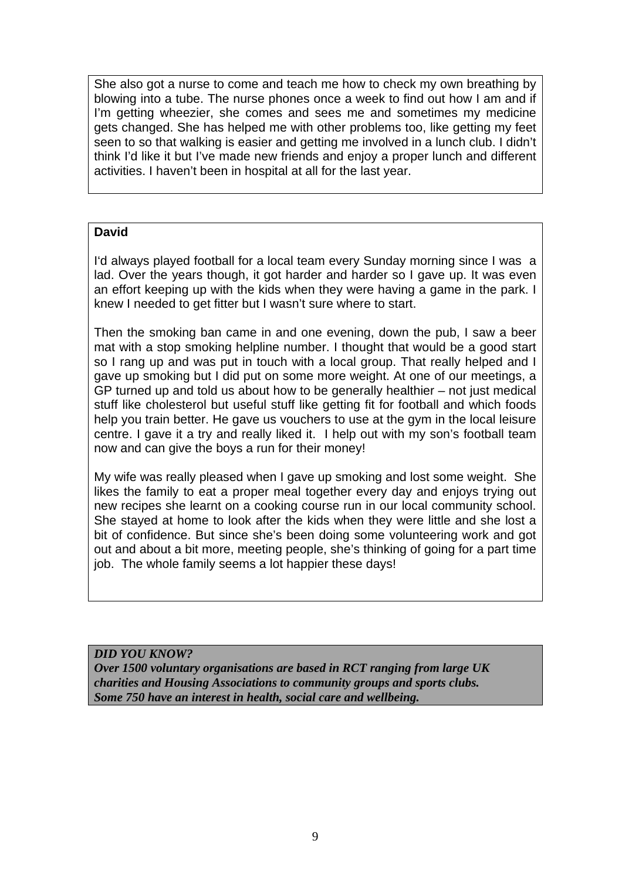She also got a nurse to come and teach me how to check my own breathing by blowing into a tube. The nurse phones once a week to find out how I am and if I'm getting wheezier, she comes and sees me and sometimes my medicine gets changed. She has helped me with other problems too, like getting my feet seen to so that walking is easier and getting me involved in a lunch club. I didn't think I'd like it but I've made new friends and enjoy a proper lunch and different activities. I haven't been in hospital at all for the last year.

### **David**

I'd always played football for a local team every Sunday morning since I was a lad. Over the years though, it got harder and harder so I gave up. It was even an effort keeping up with the kids when they were having a game in the park. I knew I needed to get fitter but I wasn't sure where to start.

Then the smoking ban came in and one evening, down the pub, I saw a beer mat with a stop smoking helpline number. I thought that would be a good start so I rang up and was put in touch with a local group. That really helped and I gave up smoking but I did put on some more weight. At one of our meetings, a GP turned up and told us about how to be generally healthier – not just medical stuff like cholesterol but useful stuff like getting fit for football and which foods help you train better. He gave us vouchers to use at the gym in the local leisure centre. I gave it a try and really liked it. I help out with my son's football team now and can give the boys a run for their money!

My wife was really pleased when I gave up smoking and lost some weight. She likes the family to eat a proper meal together every day and enjoys trying out new recipes she learnt on a cooking course run in our local community school. She stayed at home to look after the kids when they were little and she lost a bit of confidence. But since she's been doing some volunteering work and got out and about a bit more, meeting people, she's thinking of going for a part time job. The whole family seems a lot happier these days!

*DID YOU KNOW?* 

*Over 1500 voluntary organisations are based in RCT ranging from large UK charities and Housing Associations to community groups and sports clubs. Some 750 have an interest in health, social care and wellbeing.*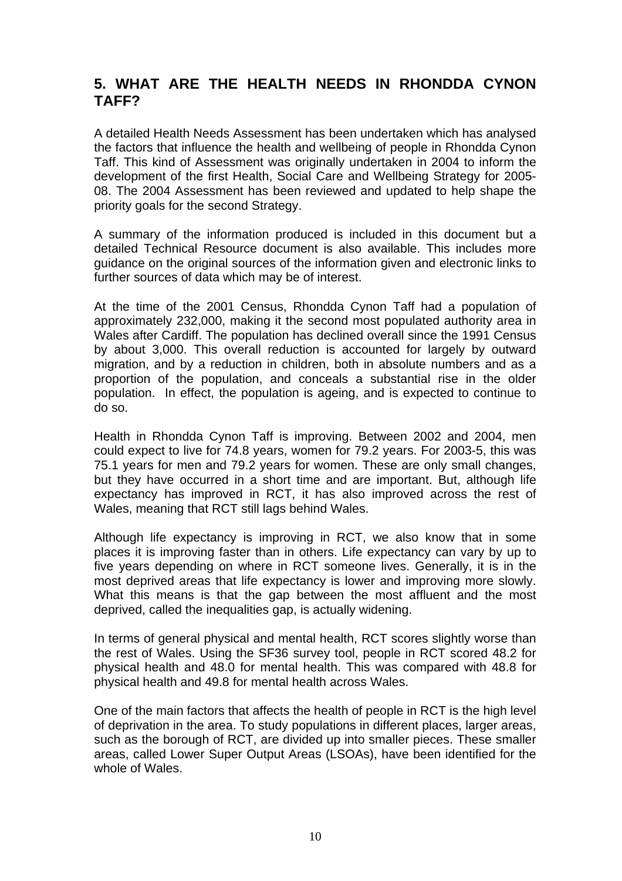# **5. WHAT ARE THE HEALTH NEEDS IN RHONDDA CYNON TAFF?**

A detailed Health Needs Assessment has been undertaken which has analysed the factors that influence the health and wellbeing of people in Rhondda Cynon Taff. This kind of Assessment was originally undertaken in 2004 to inform the development of the first Health, Social Care and Wellbeing Strategy for 2005- 08. The 2004 Assessment has been reviewed and updated to help shape the priority goals for the second Strategy.

A summary of the information produced is included in this document but a detailed Technical Resource document is also available. This includes more guidance on the original sources of the information given and electronic links to further sources of data which may be of interest.

At the time of the 2001 Census, Rhondda Cynon Taff had a population of approximately 232,000, making it the second most populated authority area in Wales after Cardiff. The population has declined overall since the 1991 Census by about 3,000. This overall reduction is accounted for largely by outward migration, and by a reduction in children, both in absolute numbers and as a proportion of the population, and conceals a substantial rise in the older population. In effect, the population is ageing, and is expected to continue to do so.

Health in Rhondda Cynon Taff is improving. Between 2002 and 2004, men could expect to live for 74.8 years, women for 79.2 years. For 2003-5, this was 75.1 years for men and 79.2 years for women. These are only small changes, but they have occurred in a short time and are important. But, although life expectancy has improved in RCT, it has also improved across the rest of Wales, meaning that RCT still lags behind Wales.

Although life expectancy is improving in RCT, we also know that in some places it is improving faster than in others. Life expectancy can vary by up to five years depending on where in RCT someone lives. Generally, it is in the most deprived areas that life expectancy is lower and improving more slowly. What this means is that the gap between the most affluent and the most deprived, called the inequalities gap, is actually widening.

In terms of general physical and mental health, RCT scores slightly worse than the rest of Wales. Using the SF36 survey tool, people in RCT scored 48.2 for physical health and 48.0 for mental health. This was compared with 48.8 for physical health and 49.8 for mental health across Wales.

One of the main factors that affects the health of people in RCT is the high level of deprivation in the area. To study populations in different places, larger areas, such as the borough of RCT, are divided up into smaller pieces. These smaller areas, called Lower Super Output Areas (LSOAs), have been identified for the whole of Wales.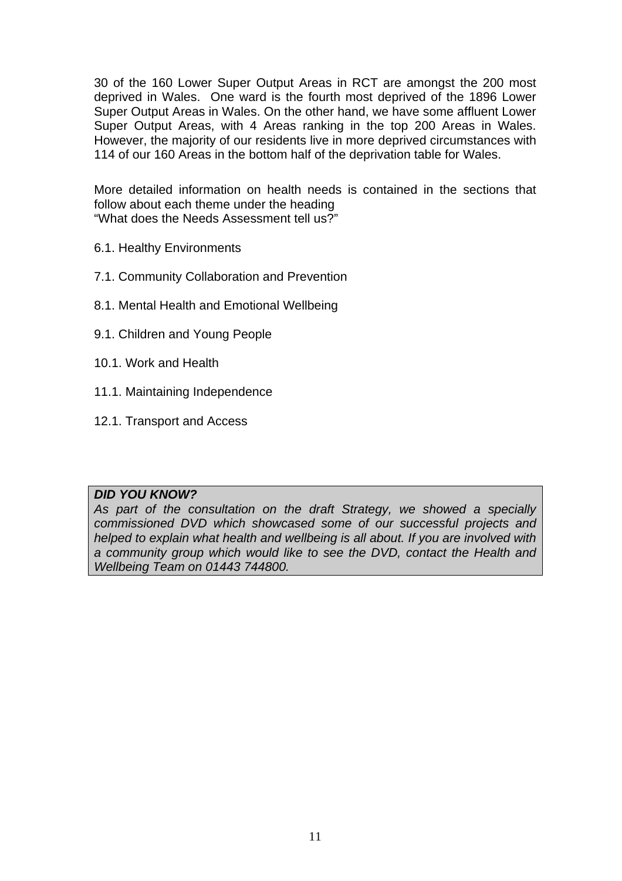30 of the 160 Lower Super Output Areas in RCT are amongst the 200 most deprived in Wales. One ward is the fourth most deprived of the 1896 Lower Super Output Areas in Wales. On the other hand, we have some affluent Lower Super Output Areas, with 4 Areas ranking in the top 200 Areas in Wales. However, the majority of our residents live in more deprived circumstances with 114 of our 160 Areas in the bottom half of the deprivation table for Wales.

More detailed information on health needs is contained in the sections that follow about each theme under the heading "What does the Needs Assessment tell us?"

- 6.1. Healthy Environments
- 7.1. Community Collaboration and Prevention
- 8.1. Mental Health and Emotional Wellbeing
- 9.1. Children and Young People
- 10.1. Work and Health
- 11.1. Maintaining Independence
- 12.1. Transport and Access

#### *DID YOU KNOW?*

*As part of the consultation on the draft Strategy, we showed a specially commissioned DVD which showcased some of our successful projects and helped to explain what health and wellbeing is all about. If you are involved with a community group which would like to see the DVD, contact the Health and Wellbeing Team on 01443 744800.*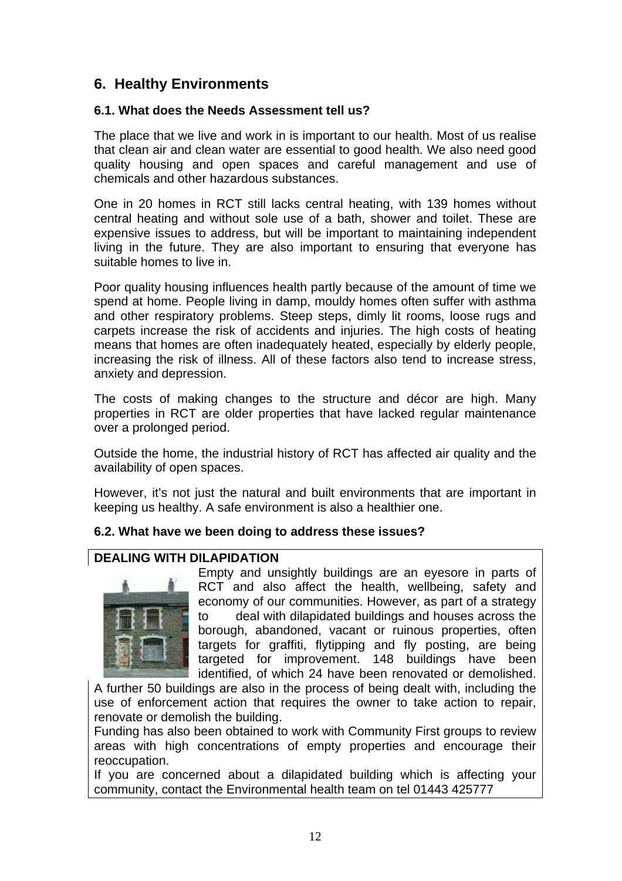# **6. Healthy Environments**

#### **6.1. What does the Needs Assessment tell us?**

The place that we live and work in is important to our health. Most of us realise that clean air and clean water are essential to good health. We also need good quality housing and open spaces and careful management and use of chemicals and other hazardous substances.

One in 20 homes in RCT still lacks central heating, with 139 homes without central heating and without sole use of a bath, shower and toilet. These are expensive issues to address, but will be important to maintaining independent living in the future. They are also important to ensuring that everyone has suitable homes to live in.

Poor quality housing influences health partly because of the amount of time we spend at home. People living in damp, mouldy homes often suffer with asthma and other respiratory problems. Steep steps, dimly lit rooms, loose rugs and carpets increase the risk of accidents and injuries. The high costs of heating means that homes are often inadequately heated, especially by elderly people, increasing the risk of illness. All of these factors also tend to increase stress, anxiety and depression.

The costs of making changes to the structure and décor are high. Many properties in RCT are older properties that have lacked regular maintenance over a prolonged period.

Outside the home, the industrial history of RCT has affected air quality and the availability of open spaces.

However, it's not just the natural and built environments that are important in keeping us healthy. A safe environment is also a healthier one.

#### **6.2. What have we been doing to address these issues?**

### **DEALING WITH DILAPIDATION**



Empty and unsightly buildings are an eyesore in parts of RCT and also affect the health, wellbeing, safety and economy of our communities. However, as part of a strategy to deal with dilapidated buildings and houses across the borough, abandoned, vacant or ruinous properties, often targets for graffiti, flytipping and fly posting, are being targeted for improvement. 148 buildings have been identified, of which 24 have been renovated or demolished.

A further 50 buildings are also in the process of being dealt with, including the use of enforcement action that requires the owner to take action to repair, renovate or demolish the building.

Funding has also been obtained to work with Community First groups to review areas with high concentrations of empty properties and encourage their reoccupation.

If you are concerned about a dilapidated building which is affecting your community, contact the Environmental health team on tel 01443 425777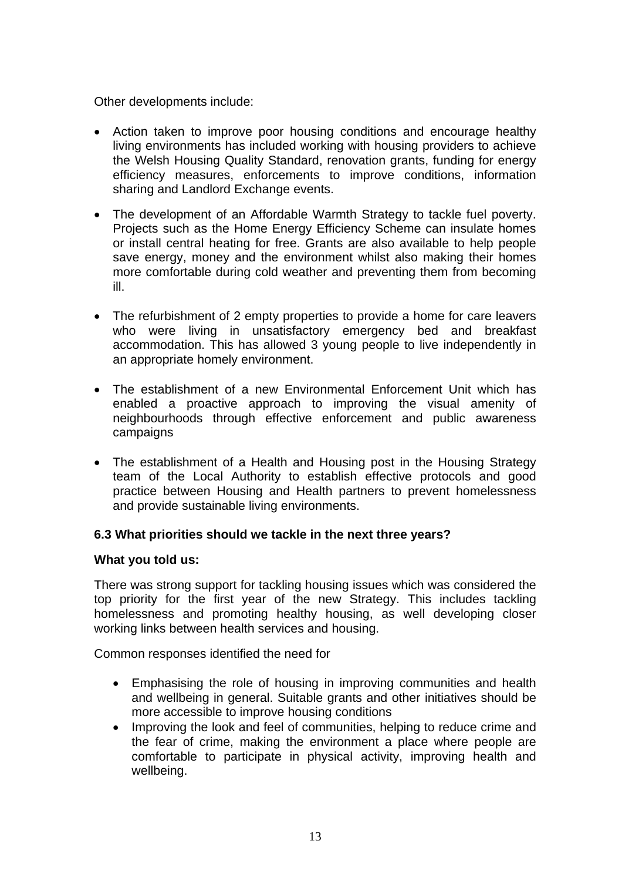Other developments include:

- Action taken to improve poor housing conditions and encourage healthy living environments has included working with housing providers to achieve the Welsh Housing Quality Standard, renovation grants, funding for energy efficiency measures, enforcements to improve conditions, information sharing and Landlord Exchange events.
- The development of an Affordable Warmth Strategy to tackle fuel poverty. Projects such as the Home Energy Efficiency Scheme can insulate homes or install central heating for free. Grants are also available to help people save energy, money and the environment whilst also making their homes more comfortable during cold weather and preventing them from becoming ill.
- The refurbishment of 2 empty properties to provide a home for care leavers who were living in unsatisfactory emergency bed and breakfast accommodation. This has allowed 3 young people to live independently in an appropriate homely environment.
- The establishment of a new Environmental Enforcement Unit which has enabled a proactive approach to improving the visual amenity of neighbourhoods through effective enforcement and public awareness campaigns
- The establishment of a Health and Housing post in the Housing Strategy team of the Local Authority to establish effective protocols and good practice between Housing and Health partners to prevent homelessness and provide sustainable living environments.

### **6.3 What priorities should we tackle in the next three years?**

#### **What you told us:**

There was strong support for tackling housing issues which was considered the top priority for the first year of the new Strategy. This includes tackling homelessness and promoting healthy housing, as well developing closer working links between health services and housing.

Common responses identified the need for

- Emphasising the role of housing in improving communities and health and wellbeing in general. Suitable grants and other initiatives should be more accessible to improve housing conditions
- Improving the look and feel of communities, helping to reduce crime and the fear of crime, making the environment a place where people are comfortable to participate in physical activity, improving health and wellbeing.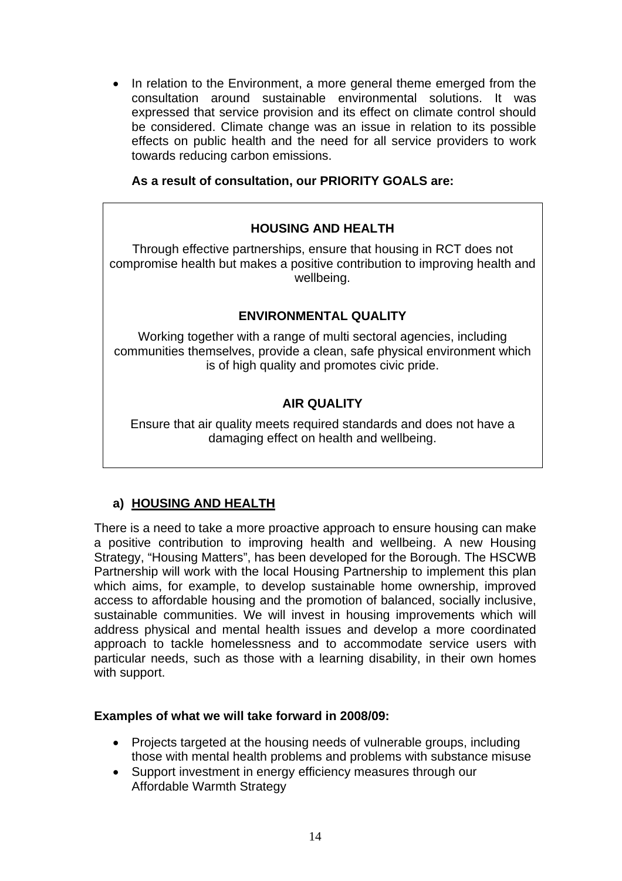• In relation to the Environment, a more general theme emerged from the consultation around sustainable environmental solutions. It was expressed that service provision and its effect on climate control should be considered. Climate change was an issue in relation to its possible effects on public health and the need for all service providers to work towards reducing carbon emissions.

### **As a result of consultation, our PRIORITY GOALS are:**

## **HOUSING AND HEALTH**

Through effective partnerships, ensure that housing in RCT does not compromise health but makes a positive contribution to improving health and wellbeing.

#### **ENVIRONMENTAL QUALITY**

Working together with a range of multi sectoral agencies, including communities themselves, provide a clean, safe physical environment which is of high quality and promotes civic pride.

## **AIR QUALITY**

Ensure that air quality meets required standards and does not have a damaging effect on health and wellbeing.

### **a) HOUSING AND HEALTH**

There is a need to take a more proactive approach to ensure housing can make a positive contribution to improving health and wellbeing. A new Housing Strategy, "Housing Matters", has been developed for the Borough. The HSCWB Partnership will work with the local Housing Partnership to implement this plan which aims, for example, to develop sustainable home ownership, improved access to affordable housing and the promotion of balanced, socially inclusive, sustainable communities. We will invest in housing improvements which will address physical and mental health issues and develop a more coordinated approach to tackle homelessness and to accommodate service users with particular needs, such as those with a learning disability, in their own homes with support.

#### **Examples of what we will take forward in 2008/09:**

- Projects targeted at the housing needs of vulnerable groups, including those with mental health problems and problems with substance misuse
- Support investment in energy efficiency measures through our Affordable Warmth Strategy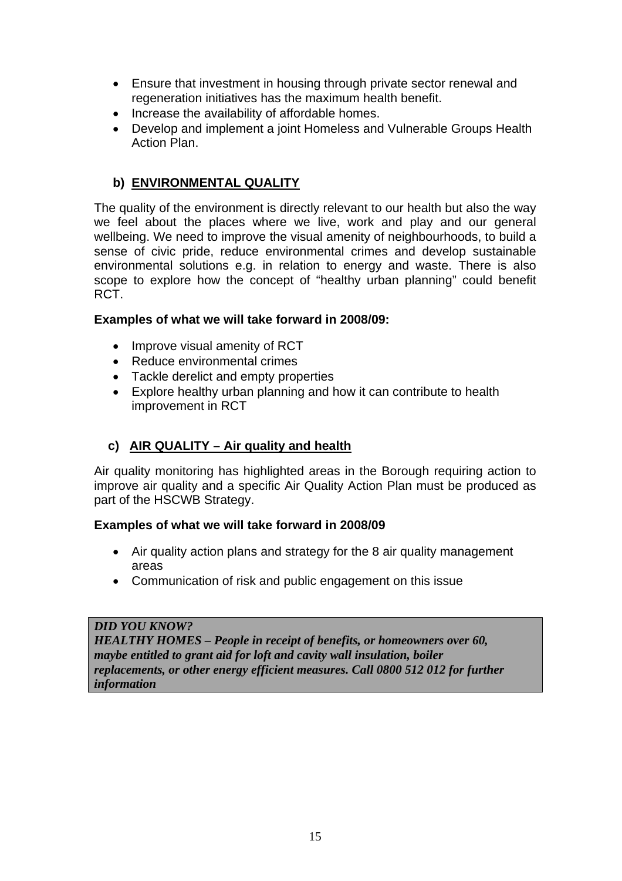- Ensure that investment in housing through private sector renewal and regeneration initiatives has the maximum health benefit.
- Increase the availability of affordable homes.
- Develop and implement a joint Homeless and Vulnerable Groups Health Action Plan.

## **b) ENVIRONMENTAL QUALITY**

The quality of the environment is directly relevant to our health but also the way we feel about the places where we live, work and play and our general wellbeing. We need to improve the visual amenity of neighbourhoods, to build a sense of civic pride, reduce environmental crimes and develop sustainable environmental solutions e.g. in relation to energy and waste. There is also scope to explore how the concept of "healthy urban planning" could benefit RCT.

#### **Examples of what we will take forward in 2008/09:**

- Improve visual amenity of RCT
- Reduce environmental crimes
- Tackle derelict and empty properties
- Explore healthy urban planning and how it can contribute to health improvement in RCT

## **c) AIR QUALITY – Air quality and health**

Air quality monitoring has highlighted areas in the Borough requiring action to improve air quality and a specific Air Quality Action Plan must be produced as part of the HSCWB Strategy.

### **Examples of what we will take forward in 2008/09**

- Air quality action plans and strategy for the 8 air quality management areas
- Communication of risk and public engagement on this issue

#### *DID YOU KNOW?*

*HEALTHY HOMES – People in receipt of benefits, or homeowners over 60, maybe entitled to grant aid for loft and cavity wall insulation, boiler replacements, or other energy efficient measures. Call 0800 512 012 for further information*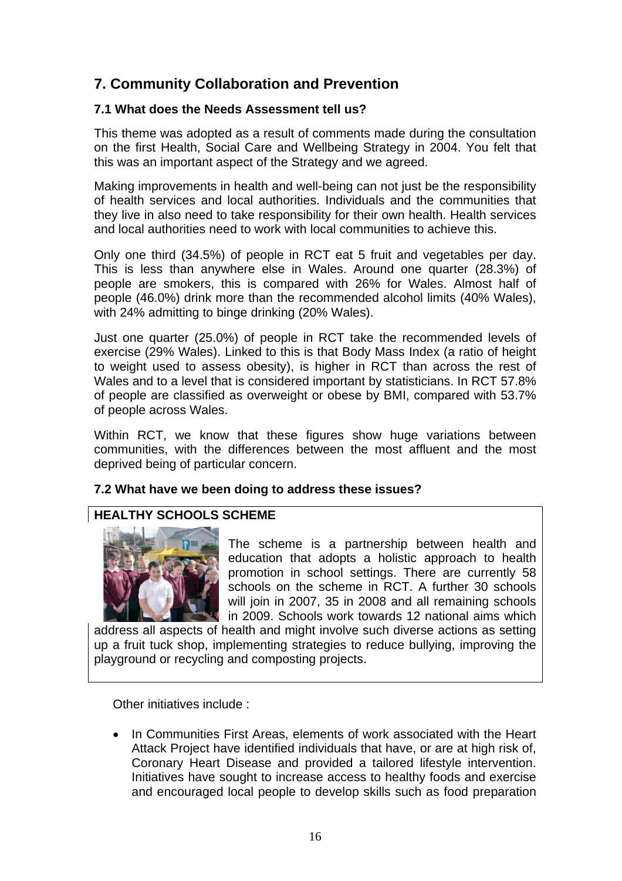# **7. Community Collaboration and Prevention**

#### **7.1 What does the Needs Assessment tell us?**

This theme was adopted as a result of comments made during the consultation on the first Health, Social Care and Wellbeing Strategy in 2004. You felt that this was an important aspect of the Strategy and we agreed.

Making improvements in health and well-being can not just be the responsibility of health services and local authorities. Individuals and the communities that they live in also need to take responsibility for their own health. Health services and local authorities need to work with local communities to achieve this.

Only one third (34.5%) of people in RCT eat 5 fruit and vegetables per day. This is less than anywhere else in Wales. Around one quarter (28.3%) of people are smokers, this is compared with 26% for Wales. Almost half of people (46.0%) drink more than the recommended alcohol limits (40% Wales), with 24% admitting to binge drinking (20% Wales).

Just one quarter (25.0%) of people in RCT take the recommended levels of exercise (29% Wales). Linked to this is that Body Mass Index (a ratio of height to weight used to assess obesity), is higher in RCT than across the rest of Wales and to a level that is considered important by statisticians. In RCT 57.8% of people are classified as overweight or obese by BMI, compared with 53.7% of people across Wales.

Within RCT, we know that these figures show huge variations between communities, with the differences between the most affluent and the most deprived being of particular concern.

### **7.2 What have we been doing to address these issues?**

## **HEALTHY SCHOOLS SCHEME**



The scheme is a partnership between health and education that adopts a holistic approach to health promotion in school settings. There are currently 58 schools on the scheme in RCT. A further 30 schools will join in 2007, 35 in 2008 and all remaining schools in 2009. Schools work towards 12 national aims which

address all aspects of health and might involve such diverse actions as setting up a fruit tuck shop, implementing strategies to reduce bullying, improving the playground or recycling and composting projects.

Other initiatives include :

• In Communities First Areas, elements of work associated with the Heart Attack Project have identified individuals that have, or are at high risk of, Coronary Heart Disease and provided a tailored lifestyle intervention. Initiatives have sought to increase access to healthy foods and exercise and encouraged local people to develop skills such as food preparation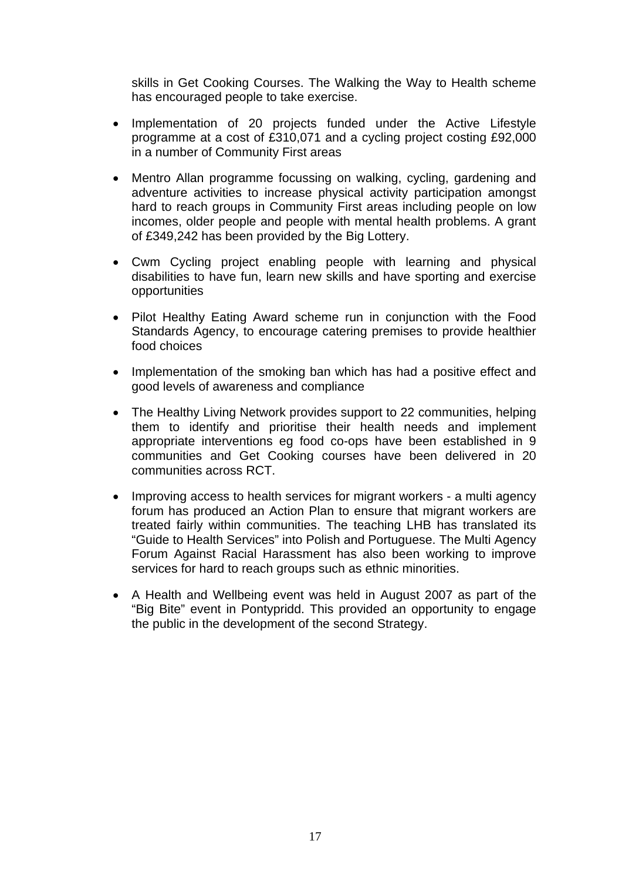skills in Get Cooking Courses. The Walking the Way to Health scheme has encouraged people to take exercise.

- Implementation of 20 projects funded under the Active Lifestyle programme at a cost of £310,071 and a cycling project costing £92,000 in a number of Community First areas
- Mentro Allan programme focussing on walking, cycling, gardening and adventure activities to increase physical activity participation amongst hard to reach groups in Community First areas including people on low incomes, older people and people with mental health problems. A grant of £349,242 has been provided by the Big Lottery.
- Cwm Cycling project enabling people with learning and physical disabilities to have fun, learn new skills and have sporting and exercise opportunities
- Pilot Healthy Eating Award scheme run in conjunction with the Food Standards Agency, to encourage catering premises to provide healthier food choices
- Implementation of the smoking ban which has had a positive effect and good levels of awareness and compliance
- The Healthy Living Network provides support to 22 communities, helping them to identify and prioritise their health needs and implement appropriate interventions eg food co-ops have been established in 9 communities and Get Cooking courses have been delivered in 20 communities across RCT.
- Improving access to health services for migrant workers a multi agency forum has produced an Action Plan to ensure that migrant workers are treated fairly within communities. The teaching LHB has translated its "Guide to Health Services" into Polish and Portuguese. The Multi Agency Forum Against Racial Harassment has also been working to improve services for hard to reach groups such as ethnic minorities.
- A Health and Wellbeing event was held in August 2007 as part of the "Big Bite" event in Pontypridd. This provided an opportunity to engage the public in the development of the second Strategy.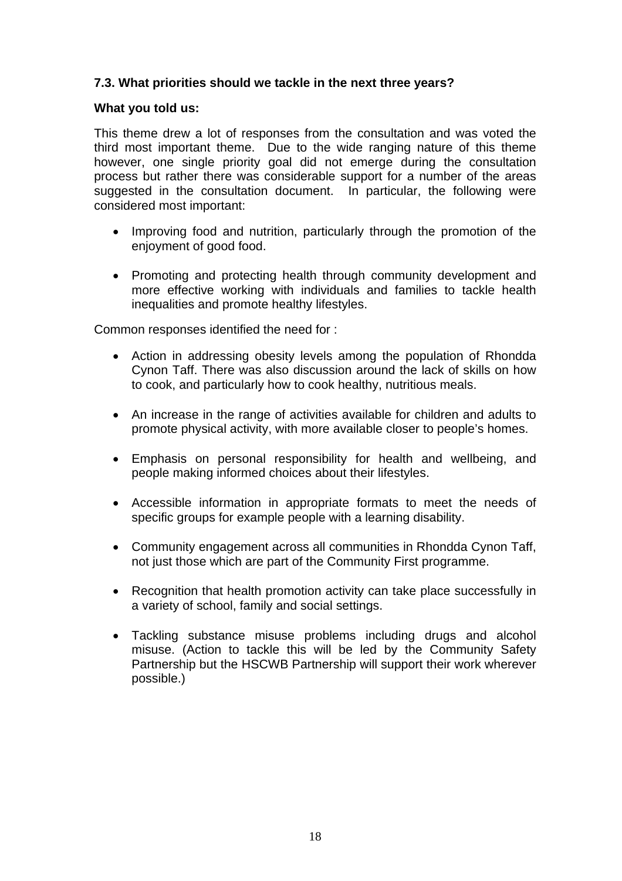#### **7.3. What priorities should we tackle in the next three years?**

#### **What you told us:**

This theme drew a lot of responses from the consultation and was voted the third most important theme. Due to the wide ranging nature of this theme however, one single priority goal did not emerge during the consultation process but rather there was considerable support for a number of the areas suggested in the consultation document. In particular, the following were considered most important:

- Improving food and nutrition, particularly through the promotion of the enjoyment of good food.
- Promoting and protecting health through community development and more effective working with individuals and families to tackle health inequalities and promote healthy lifestyles.

Common responses identified the need for :

- Action in addressing obesity levels among the population of Rhondda Cynon Taff. There was also discussion around the lack of skills on how to cook, and particularly how to cook healthy, nutritious meals.
- An increase in the range of activities available for children and adults to promote physical activity, with more available closer to people's homes.
- Emphasis on personal responsibility for health and wellbeing, and people making informed choices about their lifestyles.
- Accessible information in appropriate formats to meet the needs of specific groups for example people with a learning disability.
- Community engagement across all communities in Rhondda Cynon Taff, not just those which are part of the Community First programme.
- Recognition that health promotion activity can take place successfully in a variety of school, family and social settings.
- Tackling substance misuse problems including drugs and alcohol misuse. (Action to tackle this will be led by the Community Safety Partnership but the HSCWB Partnership will support their work wherever possible.)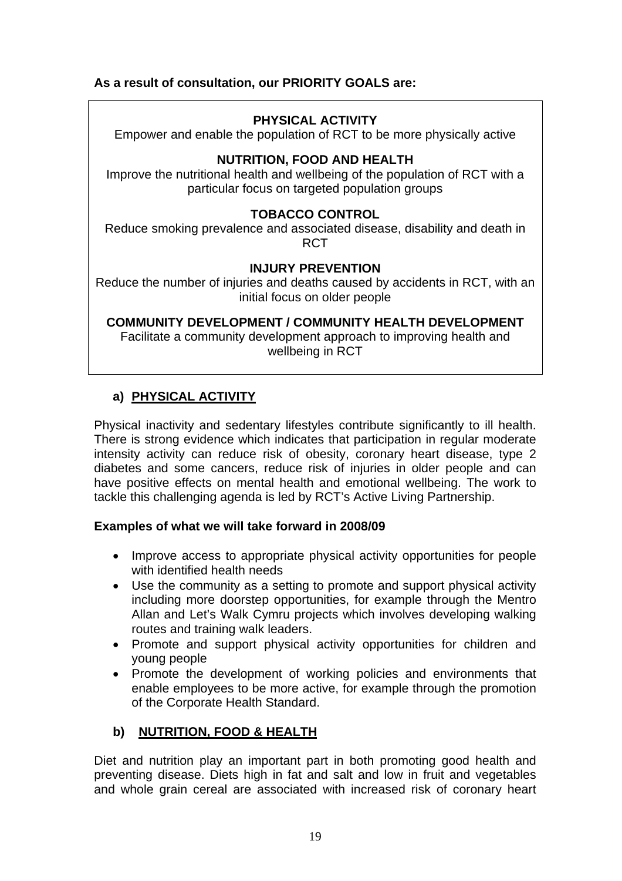## **As a result of consultation, our PRIORITY GOALS are:**

## **PHYSICAL ACTIVITY**

Empower and enable the population of RCT to be more physically active

### **NUTRITION, FOOD AND HEALTH**

Improve the nutritional health and wellbeing of the population of RCT with a particular focus on targeted population groups

#### **TOBACCO CONTROL**

Reduce smoking prevalence and associated disease, disability and death in RCT

#### **INJURY PREVENTION**

Reduce the number of injuries and deaths caused by accidents in RCT, with an initial focus on older people

**COMMUNITY DEVELOPMENT / COMMUNITY HEALTH DEVELOPMENT** 

Facilitate a community development approach to improving health and wellbeing in RCT

## **a) PHYSICAL ACTIVITY**

Physical inactivity and sedentary lifestyles contribute significantly to ill health. There is strong evidence which indicates that participation in regular moderate intensity activity can reduce risk of obesity, coronary heart disease, type 2 diabetes and some cancers, reduce risk of injuries in older people and can have positive effects on mental health and emotional wellbeing. The work to tackle this challenging agenda is led by RCT's Active Living Partnership.

#### **Examples of what we will take forward in 2008/09**

- Improve access to appropriate physical activity opportunities for people with identified health needs
- Use the community as a setting to promote and support physical activity including more doorstep opportunities, for example through the Mentro Allan and Let's Walk Cymru projects which involves developing walking routes and training walk leaders.
- Promote and support physical activity opportunities for children and young people
- Promote the development of working policies and environments that enable employees to be more active, for example through the promotion of the Corporate Health Standard.

### **b) NUTRITION, FOOD & HEALTH**

Diet and nutrition play an important part in both promoting good health and preventing disease. Diets high in fat and salt and low in fruit and vegetables and whole grain cereal are associated with increased risk of coronary heart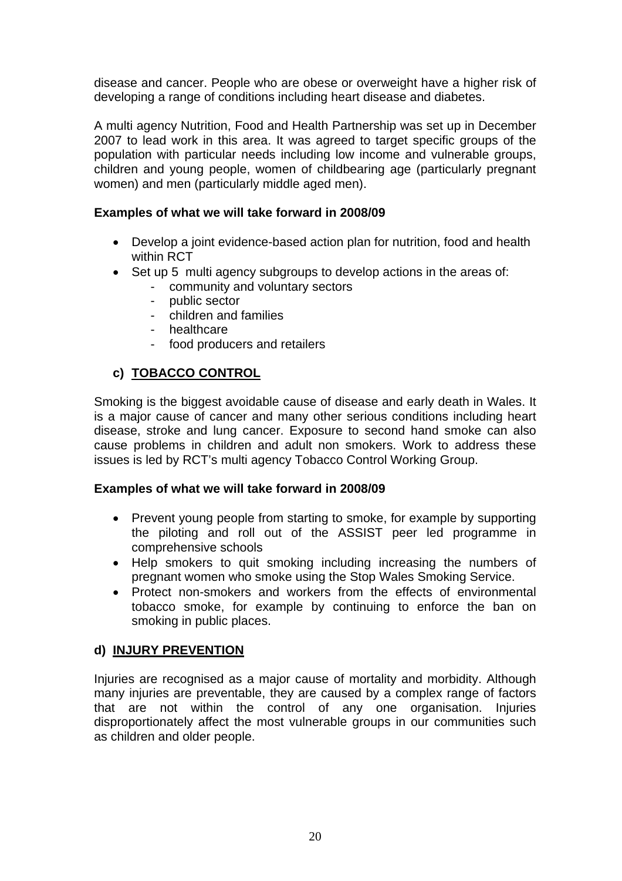disease and cancer. People who are obese or overweight have a higher risk of developing a range of conditions including heart disease and diabetes.

A multi agency Nutrition, Food and Health Partnership was set up in December 2007 to lead work in this area. It was agreed to target specific groups of the population with particular needs including low income and vulnerable groups, children and young people, women of childbearing age (particularly pregnant women) and men (particularly middle aged men).

### **Examples of what we will take forward in 2008/09**

- Develop a joint evidence-based action plan for nutrition, food and health within RCT
- Set up 5 multi agency subgroups to develop actions in the areas of:
	- community and voluntary sectors
		- public sector
		- children and families
		- healthcare
		- food producers and retailers

## **c) TOBACCO CONTROL**

Smoking is the biggest avoidable cause of disease and early death in Wales. It is a major cause of cancer and many other serious conditions including heart disease, stroke and lung cancer. Exposure to second hand smoke can also cause problems in children and adult non smokers. Work to address these issues is led by RCT's multi agency Tobacco Control Working Group.

### **Examples of what we will take forward in 2008/09**

- Prevent young people from starting to smoke, for example by supporting the piloting and roll out of the ASSIST peer led programme in comprehensive schools
- Help smokers to quit smoking including increasing the numbers of pregnant women who smoke using the Stop Wales Smoking Service.
- Protect non-smokers and workers from the effects of environmental tobacco smoke, for example by continuing to enforce the ban on smoking in public places.

### **d) INJURY PREVENTION**

Injuries are recognised as a major cause of mortality and morbidity. Although many injuries are preventable, they are caused by a complex range of factors that are not within the control of any one organisation. Injuries disproportionately affect the most vulnerable groups in our communities such as children and older people.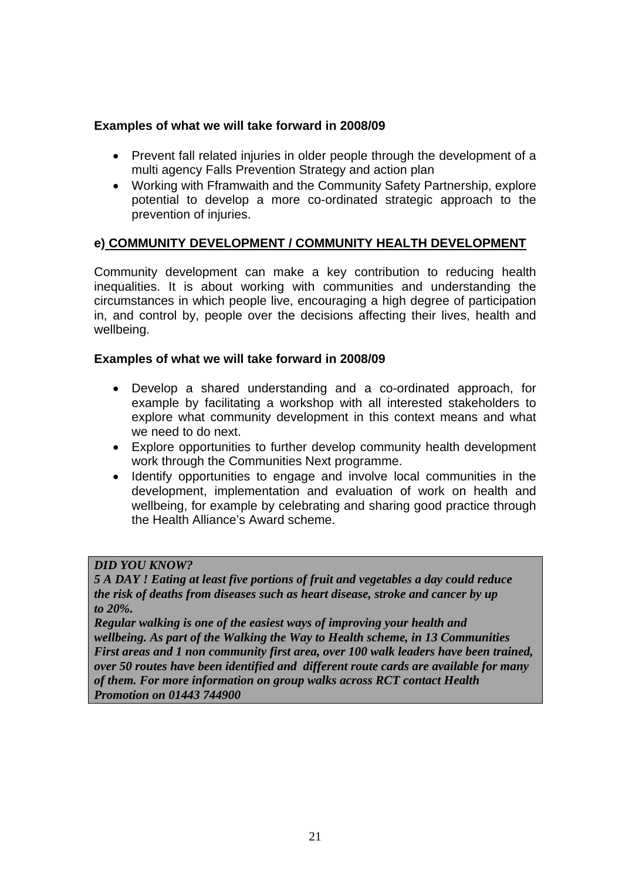#### **Examples of what we will take forward in 2008/09**

- Prevent fall related injuries in older people through the development of a multi agency Falls Prevention Strategy and action plan
- Working with Fframwaith and the Community Safety Partnership, explore potential to develop a more co-ordinated strategic approach to the prevention of injuries.

#### **e) COMMUNITY DEVELOPMENT / COMMUNITY HEALTH DEVELOPMENT**

Community development can make a key contribution to reducing health inequalities. It is about working with communities and understanding the circumstances in which people live, encouraging a high degree of participation in, and control by, people over the decisions affecting their lives, health and wellbeing.

#### **Examples of what we will take forward in 2008/09**

- Develop a shared understanding and a co-ordinated approach, for example by facilitating a workshop with all interested stakeholders to explore what community development in this context means and what we need to do next.
- Explore opportunities to further develop community health development work through the Communities Next programme.
- Identify opportunities to engage and involve local communities in the development, implementation and evaluation of work on health and wellbeing, for example by celebrating and sharing good practice through the Health Alliance's Award scheme.

#### *DID YOU KNOW?*

*5 A DAY ! Eating at least five portions of fruit and vegetables a day could reduce the risk of deaths from diseases such as heart disease, stroke and cancer by up to 20%.* 

*Regular walking is one of the easiest ways of improving your health and wellbeing. As part of the Walking the Way to Health scheme, in 13 Communities First areas and 1 non community first area, over 100 walk leaders have been trained, over 50 routes have been identified and different route cards are available for many of them. For more information on group walks across RCT contact Health Promotion on 01443 744900*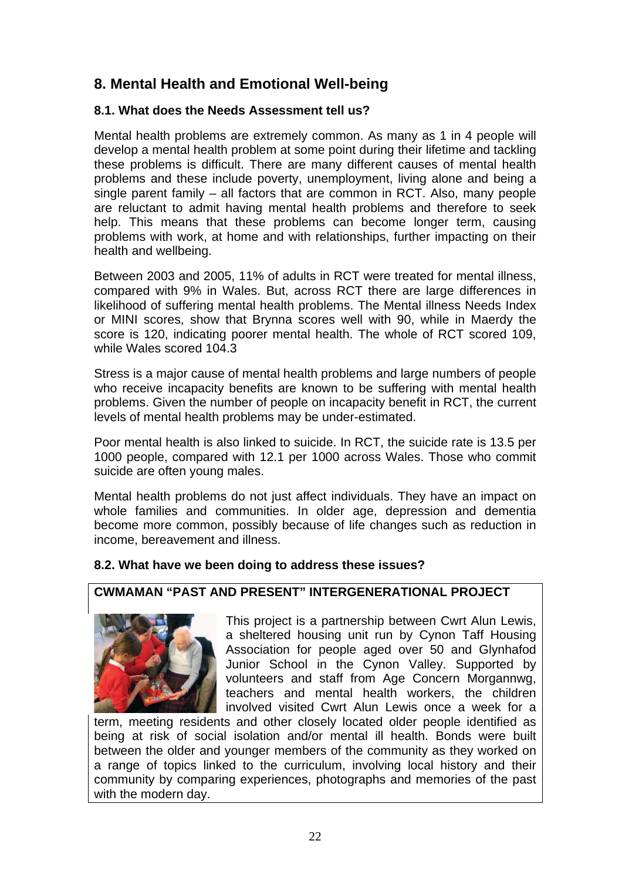# **8. Mental Health and Emotional Well-being**

## **8.1. What does the Needs Assessment tell us?**

Mental health problems are extremely common. As many as 1 in 4 people will develop a mental health problem at some point during their lifetime and tackling these problems is difficult. There are many different causes of mental health problems and these include poverty, unemployment, living alone and being a single parent family – all factors that are common in RCT. Also, many people are reluctant to admit having mental health problems and therefore to seek help. This means that these problems can become longer term, causing problems with work, at home and with relationships, further impacting on their health and wellbeing.

Between 2003 and 2005, 11% of adults in RCT were treated for mental illness, compared with 9% in Wales. But, across RCT there are large differences in likelihood of suffering mental health problems. The Mental illness Needs Index or MINI scores, show that Brynna scores well with 90, while in Maerdy the score is 120, indicating poorer mental health. The whole of RCT scored 109, while Wales scored 104.3

Stress is a major cause of mental health problems and large numbers of people who receive incapacity benefits are known to be suffering with mental health problems. Given the number of people on incapacity benefit in RCT, the current levels of mental health problems may be under-estimated.

Poor mental health is also linked to suicide. In RCT, the suicide rate is 13.5 per 1000 people, compared with 12.1 per 1000 across Wales. Those who commit suicide are often young males.

Mental health problems do not just affect individuals. They have an impact on whole families and communities. In older age, depression and dementia become more common, possibly because of life changes such as reduction in income, bereavement and illness.

### **8.2. What have we been doing to address these issues?**

## **CWMAMAN "PAST AND PRESENT" INTERGENERATIONAL PROJECT**



This project is a partnership between Cwrt Alun Lewis, a sheltered housing unit run by Cynon Taff Housing Association for people aged over 50 and Glynhafod Junior School in the Cynon Valley. Supported by volunteers and staff from Age Concern Morgannwg, teachers and mental health workers, the children involved visited Cwrt Alun Lewis once a week for a

term, meeting residents and other closely located older people identified as being at risk of social isolation and/or mental ill health. Bonds were built between the older and younger members of the community as they worked on a range of topics linked to the curriculum, involving local history and their community by comparing experiences, photographs and memories of the past with the modern day.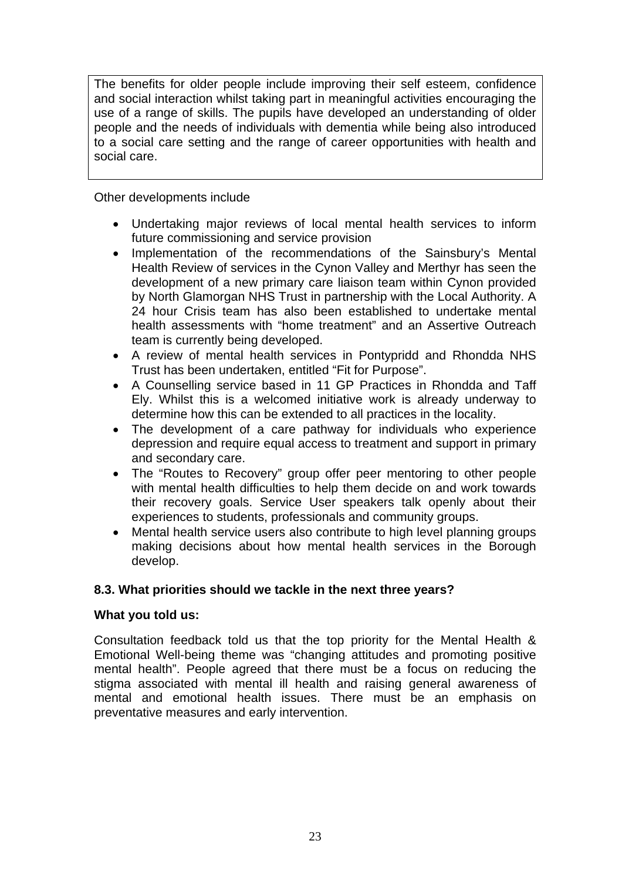The benefits for older people include improving their self esteem, confidence and social interaction whilst taking part in meaningful activities encouraging the use of a range of skills. The pupils have developed an understanding of older people and the needs of individuals with dementia while being also introduced to a social care setting and the range of career opportunities with health and social care.

Other developments include

- Undertaking major reviews of local mental health services to inform future commissioning and service provision
- Implementation of the recommendations of the Sainsbury's Mental Health Review of services in the Cynon Valley and Merthyr has seen the development of a new primary care liaison team within Cynon provided by North Glamorgan NHS Trust in partnership with the Local Authority. A 24 hour Crisis team has also been established to undertake mental health assessments with "home treatment" and an Assertive Outreach team is currently being developed.
- A review of mental health services in Pontypridd and Rhondda NHS Trust has been undertaken, entitled "Fit for Purpose".
- A Counselling service based in 11 GP Practices in Rhondda and Taff Ely. Whilst this is a welcomed initiative work is already underway to determine how this can be extended to all practices in the locality.
- The development of a care pathway for individuals who experience depression and require equal access to treatment and support in primary and secondary care.
- The "Routes to Recovery" group offer peer mentoring to other people with mental health difficulties to help them decide on and work towards their recovery goals. Service User speakers talk openly about their experiences to students, professionals and community groups.
- Mental health service users also contribute to high level planning groups making decisions about how mental health services in the Borough develop.

### **8.3. What priorities should we tackle in the next three years?**

#### **What you told us:**

Consultation feedback told us that the top priority for the Mental Health & Emotional Well-being theme was "changing attitudes and promoting positive mental health". People agreed that there must be a focus on reducing the stigma associated with mental ill health and raising general awareness of mental and emotional health issues. There must be an emphasis on preventative measures and early intervention.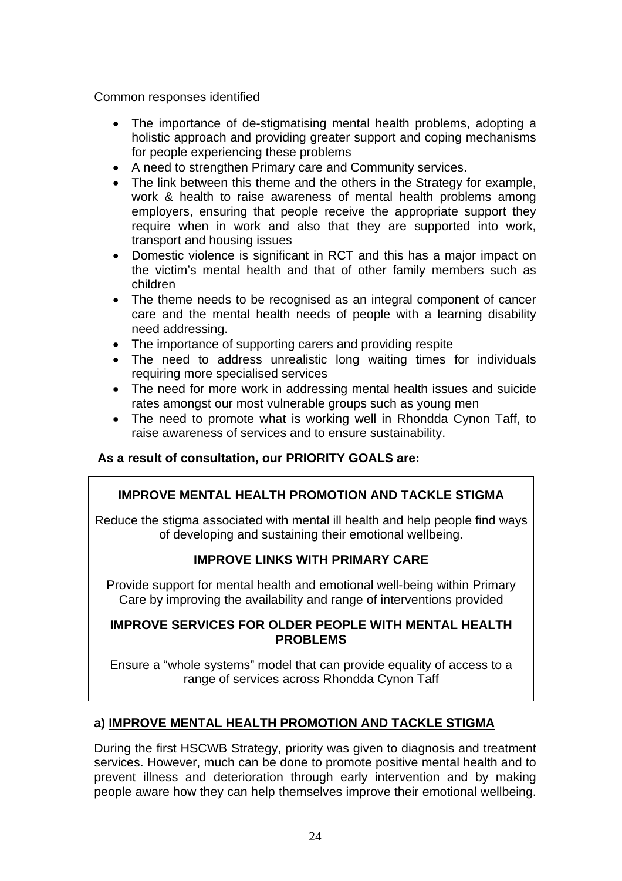Common responses identified

- The importance of de-stigmatising mental health problems, adopting a holistic approach and providing greater support and coping mechanisms for people experiencing these problems
- A need to strengthen Primary care and Community services.
- The link between this theme and the others in the Strategy for example, work & health to raise awareness of mental health problems among employers, ensuring that people receive the appropriate support they require when in work and also that they are supported into work, transport and housing issues
- Domestic violence is significant in RCT and this has a major impact on the victim's mental health and that of other family members such as children
- The theme needs to be recognised as an integral component of cancer care and the mental health needs of people with a learning disability need addressing.
- The importance of supporting carers and providing respite
- The need to address unrealistic long waiting times for individuals requiring more specialised services
- The need for more work in addressing mental health issues and suicide rates amongst our most vulnerable groups such as young men
- The need to promote what is working well in Rhondda Cynon Taff, to raise awareness of services and to ensure sustainability.

### **As a result of consultation, our PRIORITY GOALS are:**

### **IMPROVE MENTAL HEALTH PROMOTION AND TACKLE STIGMA**

Reduce the stigma associated with mental ill health and help people find ways of developing and sustaining their emotional wellbeing.

### **IMPROVE LINKS WITH PRIMARY CARE**

Provide support for mental health and emotional well-being within Primary Care by improving the availability and range of interventions provided

#### **IMPROVE SERVICES FOR OLDER PEOPLE WITH MENTAL HEALTH PROBLEMS**

Ensure a "whole systems" model that can provide equality of access to a range of services across Rhondda Cynon Taff

### **a) IMPROVE MENTAL HEALTH PROMOTION AND TACKLE STIGMA**

During the first HSCWB Strategy, priority was given to diagnosis and treatment services. However, much can be done to promote positive mental health and to prevent illness and deterioration through early intervention and by making people aware how they can help themselves improve their emotional wellbeing.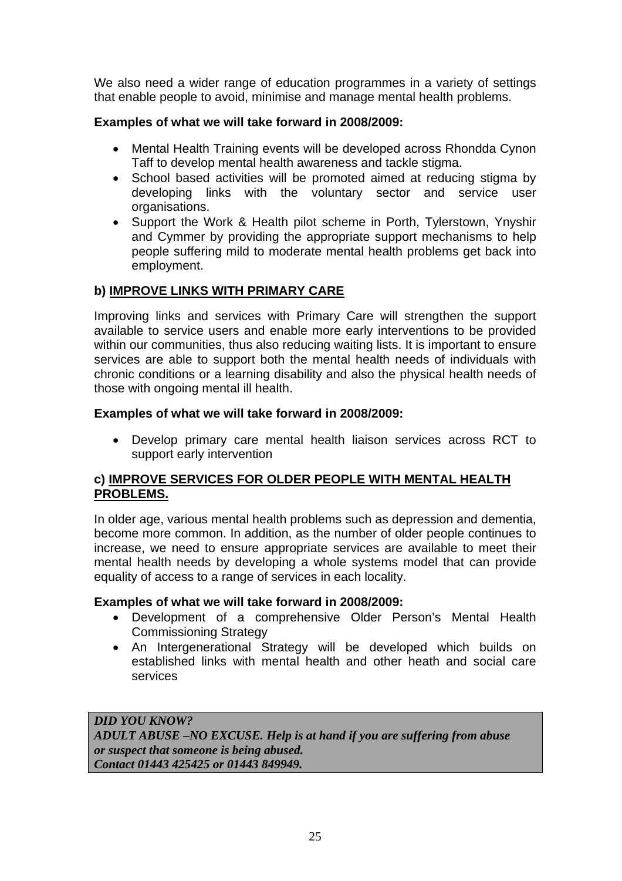We also need a wider range of education programmes in a variety of settings that enable people to avoid, minimise and manage mental health problems.

#### **Examples of what we will take forward in 2008/2009:**

- Mental Health Training events will be developed across Rhondda Cynon Taff to develop mental health awareness and tackle stigma.
- School based activities will be promoted aimed at reducing stigma by developing links with the voluntary sector and service user organisations.
- Support the Work & Health pilot scheme in Porth, Tylerstown, Ynyshir and Cymmer by providing the appropriate support mechanisms to help people suffering mild to moderate mental health problems get back into employment.

#### **b) IMPROVE LINKS WITH PRIMARY CARE**

Improving links and services with Primary Care will strengthen the support available to service users and enable more early interventions to be provided within our communities, thus also reducing waiting lists. It is important to ensure services are able to support both the mental health needs of individuals with chronic conditions or a learning disability and also the physical health needs of those with ongoing mental ill health.

#### **Examples of what we will take forward in 2008/2009:**

• Develop primary care mental health liaison services across RCT to support early intervention

#### **c) IMPROVE SERVICES FOR OLDER PEOPLE WITH MENTAL HEALTH PROBLEMS.**

In older age, various mental health problems such as depression and dementia, become more common. In addition, as the number of older people continues to increase, we need to ensure appropriate services are available to meet their mental health needs by developing a whole systems model that can provide equality of access to a range of services in each locality.

#### **Examples of what we will take forward in 2008/2009:**

- Development of a comprehensive Older Person's Mental Health Commissioning Strategy
- An Intergenerational Strategy will be developed which builds on established links with mental health and other heath and social care services

*DID YOU KNOW? ADULT ABUSE –NO EXCUSE. Help is at hand if you are suffering from abuse or suspect that someone is being abused. Contact 01443 425425 or 01443 849949.*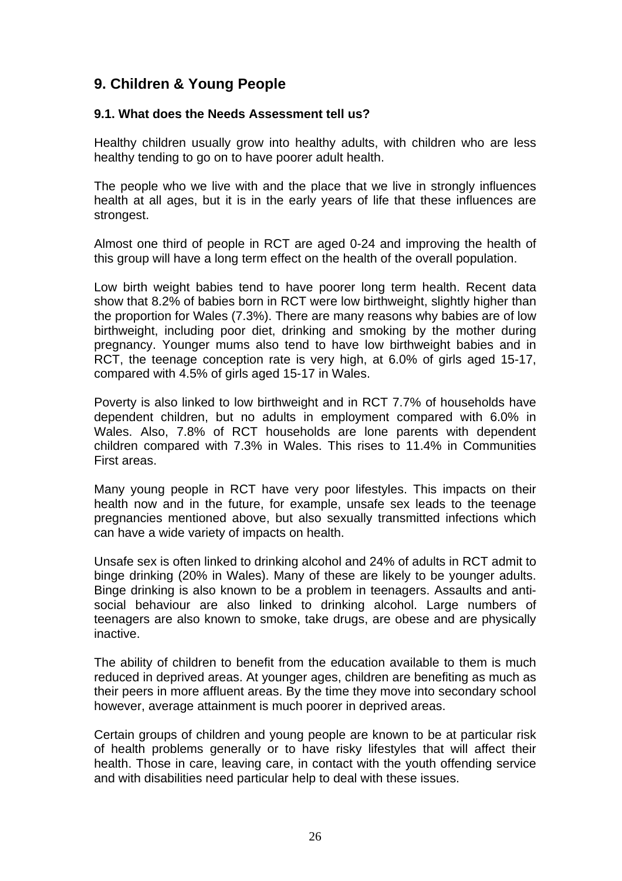# **9. Children & Young People**

#### **9.1. What does the Needs Assessment tell us?**

Healthy children usually grow into healthy adults, with children who are less healthy tending to go on to have poorer adult health.

The people who we live with and the place that we live in strongly influences health at all ages, but it is in the early years of life that these influences are strongest.

Almost one third of people in RCT are aged 0-24 and improving the health of this group will have a long term effect on the health of the overall population.

Low birth weight babies tend to have poorer long term health. Recent data show that 8.2% of babies born in RCT were low birthweight, slightly higher than the proportion for Wales (7.3%). There are many reasons why babies are of low birthweight, including poor diet, drinking and smoking by the mother during pregnancy. Younger mums also tend to have low birthweight babies and in RCT, the teenage conception rate is very high, at 6.0% of girls aged 15-17, compared with 4.5% of girls aged 15-17 in Wales.

Poverty is also linked to low birthweight and in RCT 7.7% of households have dependent children, but no adults in employment compared with 6.0% in Wales. Also, 7.8% of RCT households are lone parents with dependent children compared with 7.3% in Wales. This rises to 11.4% in Communities First areas.

Many young people in RCT have very poor lifestyles. This impacts on their health now and in the future, for example, unsafe sex leads to the teenage pregnancies mentioned above, but also sexually transmitted infections which can have a wide variety of impacts on health.

Unsafe sex is often linked to drinking alcohol and 24% of adults in RCT admit to binge drinking (20% in Wales). Many of these are likely to be younger adults. Binge drinking is also known to be a problem in teenagers. Assaults and antisocial behaviour are also linked to drinking alcohol. Large numbers of teenagers are also known to smoke, take drugs, are obese and are physically inactive.

The ability of children to benefit from the education available to them is much reduced in deprived areas. At younger ages, children are benefiting as much as their peers in more affluent areas. By the time they move into secondary school however, average attainment is much poorer in deprived areas.

Certain groups of children and young people are known to be at particular risk of health problems generally or to have risky lifestyles that will affect their health. Those in care, leaving care, in contact with the youth offending service and with disabilities need particular help to deal with these issues.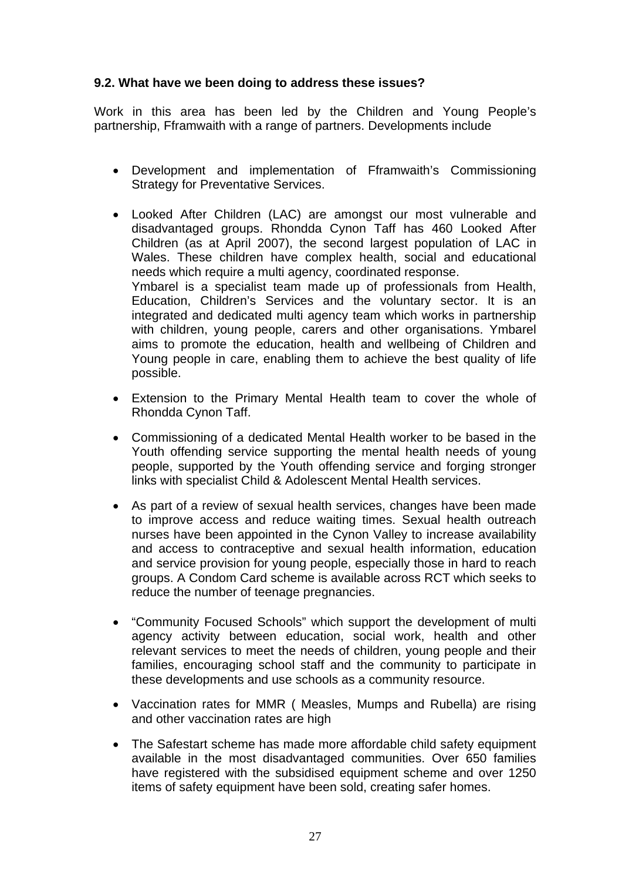#### **9.2. What have we been doing to address these issues?**

Work in this area has been led by the Children and Young People's partnership, Fframwaith with a range of partners. Developments include

- Development and implementation of Fframwaith's Commissioning Strategy for Preventative Services.
- Looked After Children (LAC) are amongst our most vulnerable and disadvantaged groups. Rhondda Cynon Taff has 460 Looked After Children (as at April 2007), the second largest population of LAC in Wales. These children have complex health, social and educational needs which require a multi agency, coordinated response. Ymbarel is a specialist team made up of professionals from Health, Education, Children's Services and the voluntary sector. It is an integrated and dedicated multi agency team which works in partnership with children, young people, carers and other organisations. Ymbarel aims to promote the education, health and wellbeing of Children and Young people in care, enabling them to achieve the best quality of life possible.
- Extension to the Primary Mental Health team to cover the whole of Rhondda Cynon Taff.
- Commissioning of a dedicated Mental Health worker to be based in the Youth offending service supporting the mental health needs of young people, supported by the Youth offending service and forging stronger links with specialist Child & Adolescent Mental Health services.
- As part of a review of sexual health services, changes have been made to improve access and reduce waiting times. Sexual health outreach nurses have been appointed in the Cynon Valley to increase availability and access to contraceptive and sexual health information, education and service provision for young people, especially those in hard to reach groups. A Condom Card scheme is available across RCT which seeks to reduce the number of teenage pregnancies.
- "Community Focused Schools" which support the development of multi agency activity between education, social work, health and other relevant services to meet the needs of children, young people and their families, encouraging school staff and the community to participate in these developments and use schools as a community resource.
- Vaccination rates for MMR ( Measles, Mumps and Rubella) are rising and other vaccination rates are high
- The Safestart scheme has made more affordable child safety equipment available in the most disadvantaged communities. Over 650 families have registered with the subsidised equipment scheme and over 1250 items of safety equipment have been sold, creating safer homes.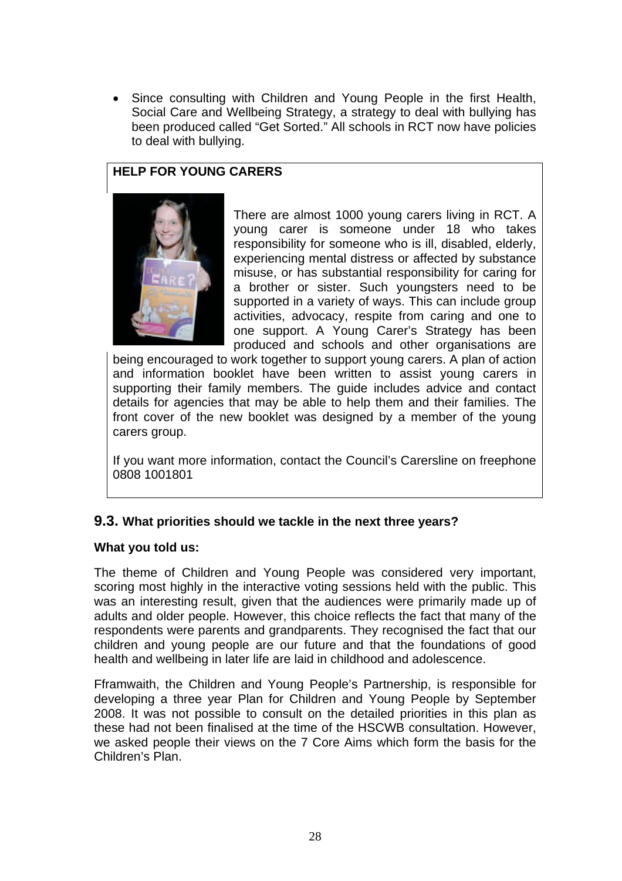Since consulting with Children and Young People in the first Health, Social Care and Wellbeing Strategy, a strategy to deal with bullying has been produced called "Get Sorted." All schools in RCT now have policies to deal with bullying.

### **HELP FOR YOUNG CARERS**



There are almost 1000 young carers living in RCT. A young carer is someone under 18 who takes responsibility for someone who is ill, disabled, elderly, experiencing mental distress or affected by substance misuse, or has substantial responsibility for caring for a brother or sister. Such youngsters need to be supported in a variety of ways. This can include group activities, advocacy, respite from caring and one to one support. A Young Carer's Strategy has been produced and schools and other organisations are

being encouraged to work together to support young carers. A plan of action and information booklet have been written to assist young carers in supporting their family members. The guide includes advice and contact details for agencies that may be able to help them and their families. The front cover of the new booklet was designed by a member of the young carers group.

If you want more information, contact the Council's Carersline on freephone 0808 1001801

### **9.3. What priorities should we tackle in the next three years?**

#### **What you told us:**

The theme of Children and Young People was considered very important, scoring most highly in the interactive voting sessions held with the public. This was an interesting result, given that the audiences were primarily made up of adults and older people. However, this choice reflects the fact that many of the respondents were parents and grandparents. They recognised the fact that our children and young people are our future and that the foundations of good health and wellbeing in later life are laid in childhood and adolescence.

Fframwaith, the Children and Young People's Partnership, is responsible for developing a three year Plan for Children and Young People by September 2008. It was not possible to consult on the detailed priorities in this plan as these had not been finalised at the time of the HSCWB consultation. However, we asked people their views on the 7 Core Aims which form the basis for the Children's Plan.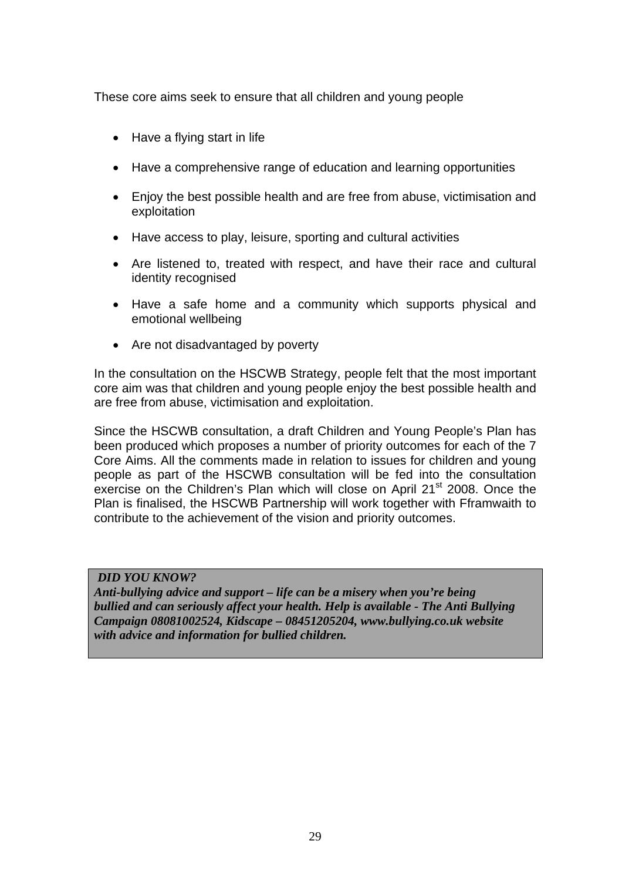These core aims seek to ensure that all children and young people

- Have a flying start in life
- Have a comprehensive range of education and learning opportunities
- Enjoy the best possible health and are free from abuse, victimisation and exploitation
- Have access to play, leisure, sporting and cultural activities
- Are listened to, treated with respect, and have their race and cultural identity recognised
- Have a safe home and a community which supports physical and emotional wellbeing
- Are not disadvantaged by poverty

In the consultation on the HSCWB Strategy, people felt that the most important core aim was that children and young people enjoy the best possible health and are free from abuse, victimisation and exploitation.

Since the HSCWB consultation, a draft Children and Young People's Plan has been produced which proposes a number of priority outcomes for each of the 7 Core Aims. All the comments made in relation to issues for children and young people as part of the HSCWB consultation will be fed into the consultation exercise on the Children's Plan which will close on April 21<sup>st</sup> 2008. Once the Plan is finalised, the HSCWB Partnership will work together with Fframwaith to contribute to the achievement of the vision and priority outcomes.

#### *DID YOU KNOW?*

*Anti-bullying advice and support – life can be a misery when you're being bullied and can seriously affect your health. Help is available - The Anti Bullying Campaign 08081002524, Kidscape – 08451205204, www.bullying.co.uk website with advice and information for bullied children.*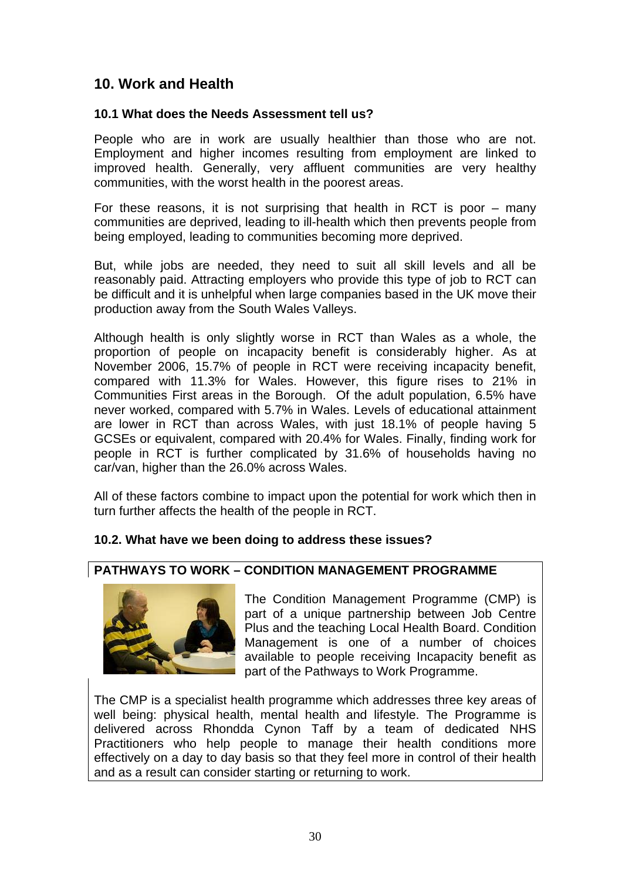# **10. Work and Health**

#### **10.1 What does the Needs Assessment tell us?**

People who are in work are usually healthier than those who are not. Employment and higher incomes resulting from employment are linked to improved health. Generally, very affluent communities are very healthy communities, with the worst health in the poorest areas.

For these reasons, it is not surprising that health in RCT is poor – many communities are deprived, leading to ill-health which then prevents people from being employed, leading to communities becoming more deprived.

But, while jobs are needed, they need to suit all skill levels and all be reasonably paid. Attracting employers who provide this type of job to RCT can be difficult and it is unhelpful when large companies based in the UK move their production away from the South Wales Valleys.

Although health is only slightly worse in RCT than Wales as a whole, the proportion of people on incapacity benefit is considerably higher. As at November 2006, 15.7% of people in RCT were receiving incapacity benefit, compared with 11.3% for Wales. However, this figure rises to 21% in Communities First areas in the Borough. Of the adult population, 6.5% have never worked, compared with 5.7% in Wales. Levels of educational attainment are lower in RCT than across Wales, with just 18.1% of people having 5 GCSEs or equivalent, compared with 20.4% for Wales. Finally, finding work for people in RCT is further complicated by 31.6% of households having no car/van, higher than the 26.0% across Wales.

All of these factors combine to impact upon the potential for work which then in turn further affects the health of the people in RCT.

### **10.2. What have we been doing to address these issues?**

#### **PATHWAYS TO WORK – CONDITION MANAGEMENT PROGRAMME**



The Condition Management Programme (CMP) is part of a unique partnership between Job Centre Plus and the teaching Local Health Board. Condition Management is one of a number of choices available to people receiving Incapacity benefit as part of the Pathways to Work Programme.

The CMP is a specialist health programme which addresses three key areas of well being: physical health, mental health and lifestyle. The Programme is delivered across Rhondda Cynon Taff by a team of dedicated NHS Practitioners who help people to manage their health conditions more effectively on a day to day basis so that they feel more in control of their health and as a result can consider starting or returning to work.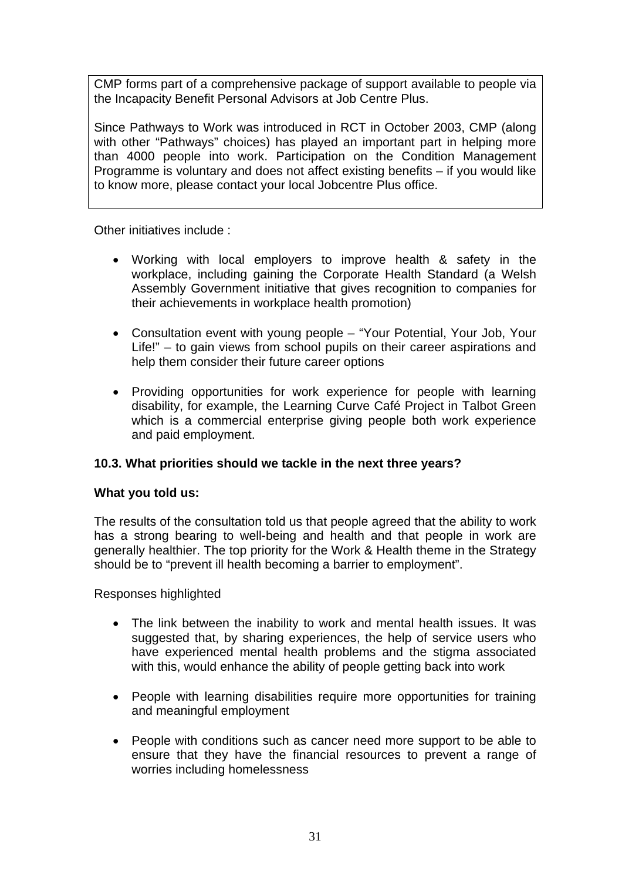CMP forms part of a comprehensive package of support available to people via the Incapacity Benefit Personal Advisors at Job Centre Plus.

Since Pathways to Work was introduced in RCT in October 2003, CMP (along with other "Pathways" choices) has played an important part in helping more than 4000 people into work. Participation on the Condition Management Programme is voluntary and does not affect existing benefits – if you would like to know more, please contact your local Jobcentre Plus office.

Other initiatives include :

- Working with local employers to improve health & safety in the workplace, including gaining the Corporate Health Standard (a Welsh Assembly Government initiative that gives recognition to companies for their achievements in workplace health promotion)
- Consultation event with young people "Your Potential, Your Job, Your Life!" – to gain views from school pupils on their career aspirations and help them consider their future career options
- Providing opportunities for work experience for people with learning disability, for example, the Learning Curve Café Project in Talbot Green which is a commercial enterprise giving people both work experience and paid employment.

#### **10.3. What priorities should we tackle in the next three years?**

#### **What you told us:**

The results of the consultation told us that people agreed that the ability to work has a strong bearing to well-being and health and that people in work are generally healthier. The top priority for the Work & Health theme in the Strategy should be to "prevent ill health becoming a barrier to employment".

Responses highlighted

- The link between the inability to work and mental health issues. It was suggested that, by sharing experiences, the help of service users who have experienced mental health problems and the stigma associated with this, would enhance the ability of people getting back into work
- People with learning disabilities require more opportunities for training and meaningful employment
- People with conditions such as cancer need more support to be able to ensure that they have the financial resources to prevent a range of worries including homelessness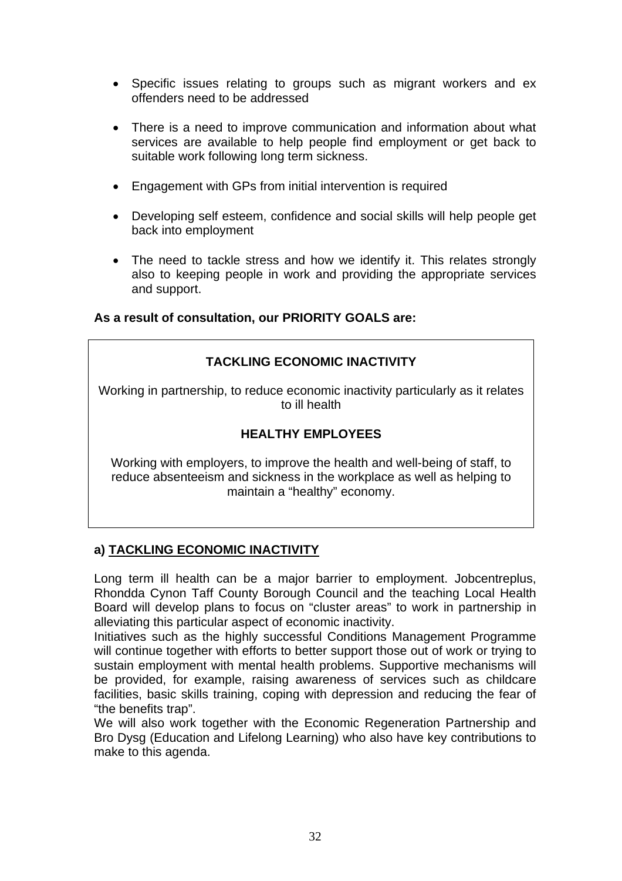- Specific issues relating to groups such as migrant workers and ex offenders need to be addressed
- There is a need to improve communication and information about what services are available to help people find employment or get back to suitable work following long term sickness.
- Engagement with GPs from initial intervention is required
- Developing self esteem, confidence and social skills will help people get back into employment
- The need to tackle stress and how we identify it. This relates strongly also to keeping people in work and providing the appropriate services and support.

#### **As a result of consultation, our PRIORITY GOALS are:**

## **TACKLING ECONOMIC INACTIVITY**

Working in partnership, to reduce economic inactivity particularly as it relates to ill health

#### **HEALTHY EMPLOYEES**

Working with employers, to improve the health and well-being of staff, to reduce absenteeism and sickness in the workplace as well as helping to maintain a "healthy" economy.

### **a) TACKLING ECONOMIC INACTIVITY**

Long term ill health can be a major barrier to employment. Jobcentreplus, Rhondda Cynon Taff County Borough Council and the teaching Local Health Board will develop plans to focus on "cluster areas" to work in partnership in alleviating this particular aspect of economic inactivity.

Initiatives such as the highly successful Conditions Management Programme will continue together with efforts to better support those out of work or trying to sustain employment with mental health problems. Supportive mechanisms will be provided, for example, raising awareness of services such as childcare facilities, basic skills training, coping with depression and reducing the fear of "the benefits trap".

We will also work together with the Economic Regeneration Partnership and Bro Dysg (Education and Lifelong Learning) who also have key contributions to make to this agenda.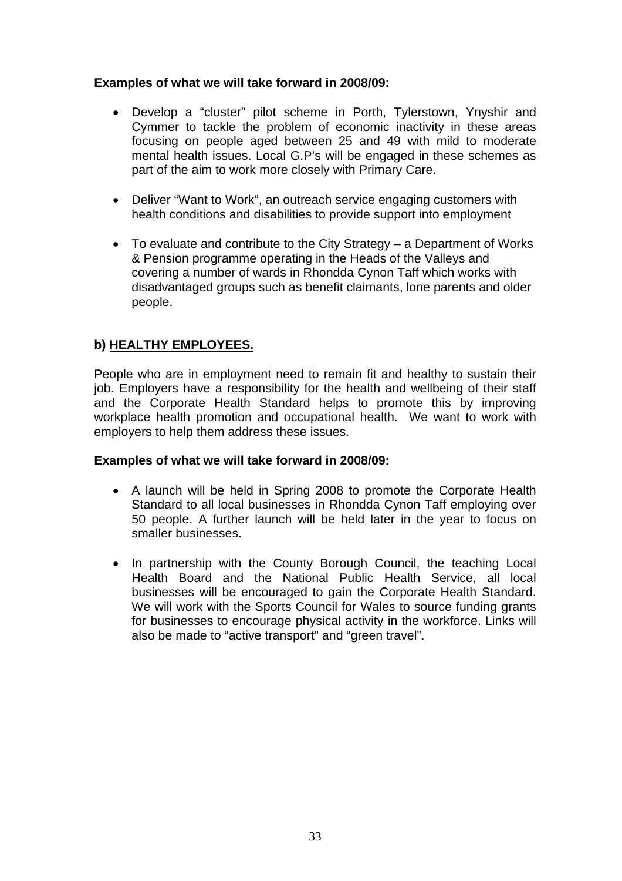#### **Examples of what we will take forward in 2008/09:**

- Develop a "cluster" pilot scheme in Porth, Tylerstown, Ynyshir and Cymmer to tackle the problem of economic inactivity in these areas focusing on people aged between 25 and 49 with mild to moderate mental health issues. Local G.P's will be engaged in these schemes as part of the aim to work more closely with Primary Care.
- Deliver "Want to Work", an outreach service engaging customers with health conditions and disabilities to provide support into employment
- To evaluate and contribute to the City Strategy a Department of Works & Pension programme operating in the Heads of the Valleys and covering a number of wards in Rhondda Cynon Taff which works with disadvantaged groups such as benefit claimants, lone parents and older people.

### **b) HEALTHY EMPLOYEES.**

People who are in employment need to remain fit and healthy to sustain their job. Employers have a responsibility for the health and wellbeing of their staff and the Corporate Health Standard helps to promote this by improving workplace health promotion and occupational health. We want to work with employers to help them address these issues.

#### **Examples of what we will take forward in 2008/09:**

- A launch will be held in Spring 2008 to promote the Corporate Health Standard to all local businesses in Rhondda Cynon Taff employing over 50 people. A further launch will be held later in the year to focus on smaller businesses.
- In partnership with the County Borough Council, the teaching Local Health Board and the National Public Health Service, all local businesses will be encouraged to gain the Corporate Health Standard. We will work with the Sports Council for Wales to source funding grants for businesses to encourage physical activity in the workforce. Links will also be made to "active transport" and "green travel".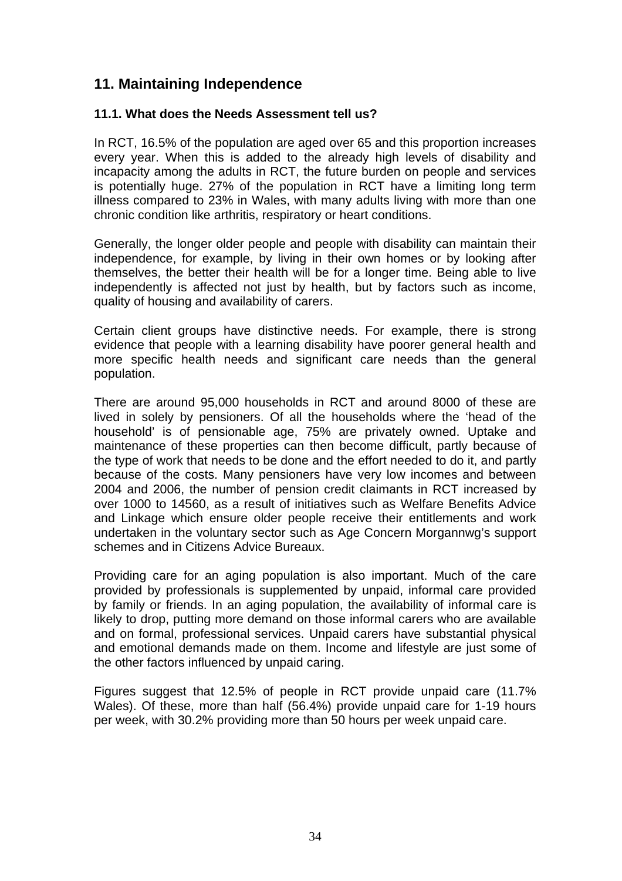# **11. Maintaining Independence**

#### **11.1. What does the Needs Assessment tell us?**

In RCT, 16.5% of the population are aged over 65 and this proportion increases every year. When this is added to the already high levels of disability and incapacity among the adults in RCT, the future burden on people and services is potentially huge. 27% of the population in RCT have a limiting long term illness compared to 23% in Wales, with many adults living with more than one chronic condition like arthritis, respiratory or heart conditions.

Generally, the longer older people and people with disability can maintain their independence, for example, by living in their own homes or by looking after themselves, the better their health will be for a longer time. Being able to live independently is affected not just by health, but by factors such as income, quality of housing and availability of carers.

Certain client groups have distinctive needs. For example, there is strong evidence that people with a learning disability have poorer general health and more specific health needs and significant care needs than the general population.

There are around 95,000 households in RCT and around 8000 of these are lived in solely by pensioners. Of all the households where the 'head of the household' is of pensionable age, 75% are privately owned. Uptake and maintenance of these properties can then become difficult, partly because of the type of work that needs to be done and the effort needed to do it, and partly because of the costs. Many pensioners have very low incomes and between 2004 and 2006, the number of pension credit claimants in RCT increased by over 1000 to 14560, as a result of initiatives such as Welfare Benefits Advice and Linkage which ensure older people receive their entitlements and work undertaken in the voluntary sector such as Age Concern Morgannwg's support schemes and in Citizens Advice Bureaux.

Providing care for an aging population is also important. Much of the care provided by professionals is supplemented by unpaid, informal care provided by family or friends. In an aging population, the availability of informal care is likely to drop, putting more demand on those informal carers who are available and on formal, professional services. Unpaid carers have substantial physical and emotional demands made on them. Income and lifestyle are just some of the other factors influenced by unpaid caring.

Figures suggest that 12.5% of people in RCT provide unpaid care (11.7% Wales). Of these, more than half (56.4%) provide unpaid care for 1-19 hours per week, with 30.2% providing more than 50 hours per week unpaid care.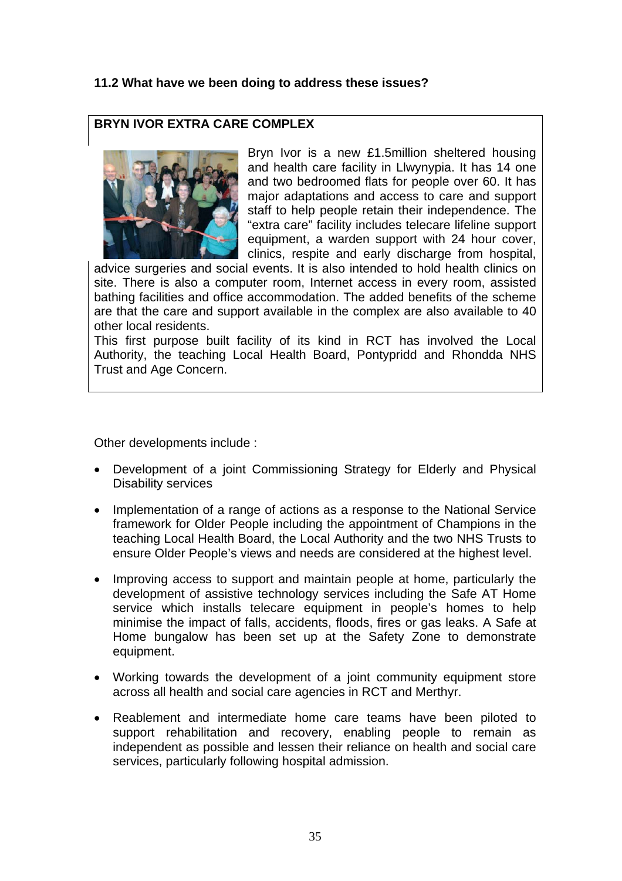#### **11.2 What have we been doing to address these issues?**

#### **BRYN IVOR EXTRA CARE COMPLEX**



Bryn Ivor is a new £1.5million sheltered housing and health care facility in Llwynypia. It has 14 one and two bedroomed flats for people over 60. It has major adaptations and access to care and support staff to help people retain their independence. The "extra care" facility includes telecare lifeline support equipment, a warden support with 24 hour cover, clinics, respite and early discharge from hospital,

advice surgeries and social events. It is also intended to hold health clinics on site. There is also a computer room, Internet access in every room, assisted bathing facilities and office accommodation. The added benefits of the scheme are that the care and support available in the complex are also available to 40 other local residents.

This first purpose built facility of its kind in RCT has involved the Local Authority, the teaching Local Health Board, Pontypridd and Rhondda NHS Trust and Age Concern.

Other developments include :

- Development of a joint Commissioning Strategy for Elderly and Physical Disability services
- Implementation of a range of actions as a response to the National Service framework for Older People including the appointment of Champions in the teaching Local Health Board, the Local Authority and the two NHS Trusts to ensure Older People's views and needs are considered at the highest level.
- Improving access to support and maintain people at home, particularly the development of assistive technology services including the Safe AT Home service which installs telecare equipment in people's homes to help minimise the impact of falls, accidents, floods, fires or gas leaks. A Safe at Home bungalow has been set up at the Safety Zone to demonstrate equipment.
- Working towards the development of a joint community equipment store across all health and social care agencies in RCT and Merthyr.
- Reablement and intermediate home care teams have been piloted to support rehabilitation and recovery, enabling people to remain as independent as possible and lessen their reliance on health and social care services, particularly following hospital admission.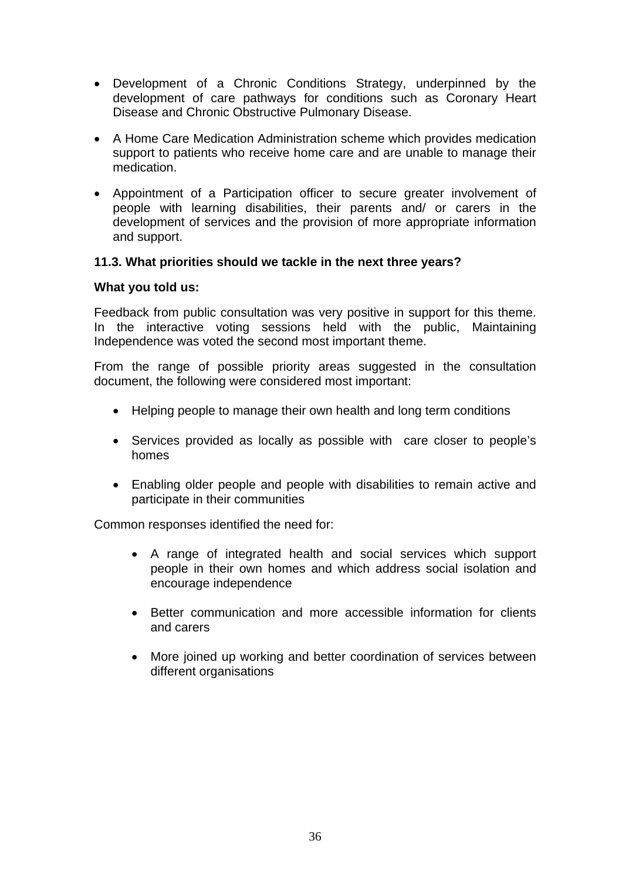- Development of a Chronic Conditions Strategy, underpinned by the development of care pathways for conditions such as Coronary Heart Disease and Chronic Obstructive Pulmonary Disease.
- A Home Care Medication Administration scheme which provides medication support to patients who receive home care and are unable to manage their medication.
- Appointment of a Participation officer to secure greater involvement of people with learning disabilities, their parents and/ or carers in the development of services and the provision of more appropriate information and support.

#### **11.3. What priorities should we tackle in the next three years?**

#### **What you told us:**

Feedback from public consultation was very positive in support for this theme. In the interactive voting sessions held with the public, Maintaining Independence was voted the second most important theme.

From the range of possible priority areas suggested in the consultation document, the following were considered most important:

- Helping people to manage their own health and long term conditions
- Services provided as locally as possible with care closer to people's homes
- Enabling older people and people with disabilities to remain active and participate in their communities

Common responses identified the need for:

- A range of integrated health and social services which support people in their own homes and which address social isolation and encourage independence
- Better communication and more accessible information for clients and carers
- More joined up working and better coordination of services between different organisations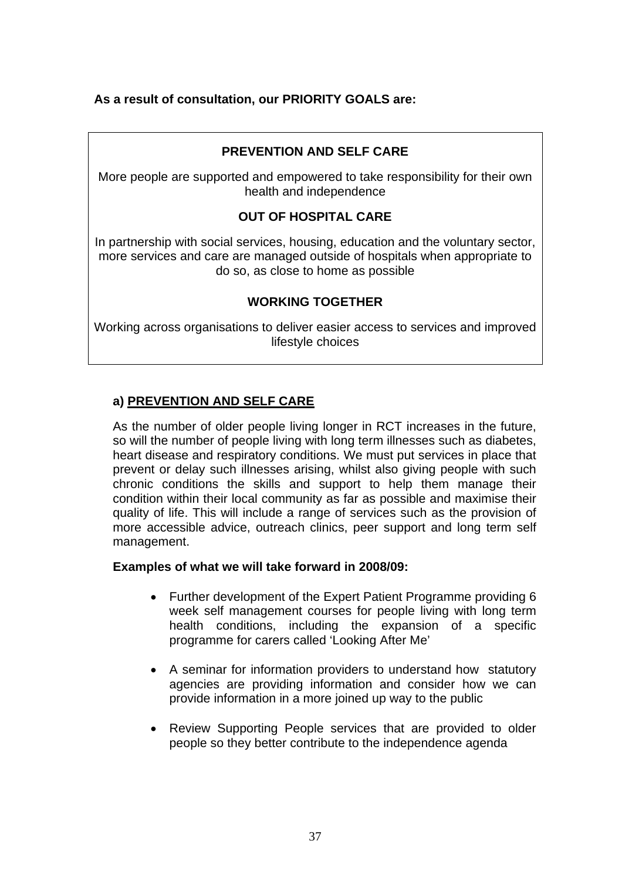#### **As a result of consultation, our PRIORITY GOALS are:**

#### **PREVENTION AND SELF CARE**

More people are supported and empowered to take responsibility for their own health and independence

#### **OUT OF HOSPITAL CARE**

In partnership with social services, housing, education and the voluntary sector, more services and care are managed outside of hospitals when appropriate to do so, as close to home as possible

#### **WORKING TOGETHER**

Working across organisations to deliver easier access to services and improved lifestyle choices

#### **a) PREVENTION AND SELF CARE**

As the number of older people living longer in RCT increases in the future, so will the number of people living with long term illnesses such as diabetes, heart disease and respiratory conditions. We must put services in place that prevent or delay such illnesses arising, whilst also giving people with such chronic conditions the skills and support to help them manage their condition within their local community as far as possible and maximise their quality of life. This will include a range of services such as the provision of more accessible advice, outreach clinics, peer support and long term self management.

#### **Examples of what we will take forward in 2008/09:**

- Further development of the Expert Patient Programme providing 6 week self management courses for people living with long term health conditions, including the expansion of a specific programme for carers called 'Looking After Me'
- A seminar for information providers to understand how statutory agencies are providing information and consider how we can provide information in a more joined up way to the public
- Review Supporting People services that are provided to older people so they better contribute to the independence agenda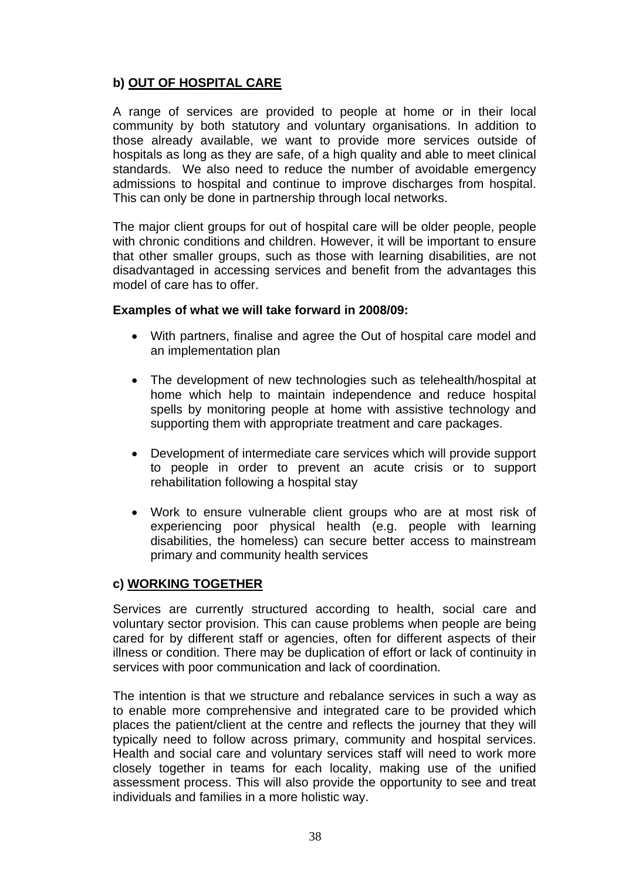## **b) OUT OF HOSPITAL CARE**

A range of services are provided to people at home or in their local community by both statutory and voluntary organisations. In addition to those already available, we want to provide more services outside of hospitals as long as they are safe, of a high quality and able to meet clinical standards. We also need to reduce the number of avoidable emergency admissions to hospital and continue to improve discharges from hospital. This can only be done in partnership through local networks.

The major client groups for out of hospital care will be older people, people with chronic conditions and children. However, it will be important to ensure that other smaller groups, such as those with learning disabilities, are not disadvantaged in accessing services and benefit from the advantages this model of care has to offer.

#### **Examples of what we will take forward in 2008/09:**

- With partners, finalise and agree the Out of hospital care model and an implementation plan
- The development of new technologies such as telehealth/hospital at home which help to maintain independence and reduce hospital spells by monitoring people at home with assistive technology and supporting them with appropriate treatment and care packages.
- Development of intermediate care services which will provide support to people in order to prevent an acute crisis or to support rehabilitation following a hospital stay
- Work to ensure vulnerable client groups who are at most risk of experiencing poor physical health (e.g. people with learning disabilities, the homeless) can secure better access to mainstream primary and community health services

#### **c) WORKING TOGETHER**

Services are currently structured according to health, social care and voluntary sector provision. This can cause problems when people are being cared for by different staff or agencies, often for different aspects of their illness or condition. There may be duplication of effort or lack of continuity in services with poor communication and lack of coordination.

The intention is that we structure and rebalance services in such a way as to enable more comprehensive and integrated care to be provided which places the patient/client at the centre and reflects the journey that they will typically need to follow across primary, community and hospital services. Health and social care and voluntary services staff will need to work more closely together in teams for each locality, making use of the unified assessment process. This will also provide the opportunity to see and treat individuals and families in a more holistic way.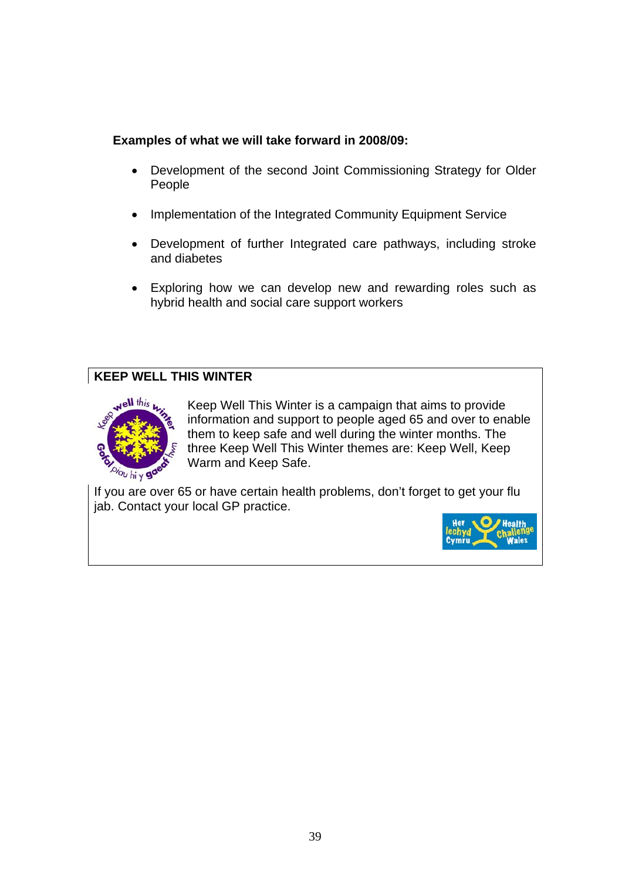## **Examples of what we will take forward in 2008/09:**

- Development of the second Joint Commissioning Strategy for Older People
- Implementation of the Integrated Community Equipment Service
- Development of further Integrated care pathways, including stroke and diabetes
- Exploring how we can develop new and rewarding roles such as hybrid health and social care support workers

## **KEEP WELL THIS WINTER**



Keep Well This Winter is a campaign that aims to provide information and support to people aged 65 and over to enable them to keep safe and well during the winter months. The three Keep Well This Winter themes are: Keep Well, Keep Warm and Keep Safe.

If you are over 65 or have certain health problems, don't forget to get your flu jab. Contact your local GP practice.

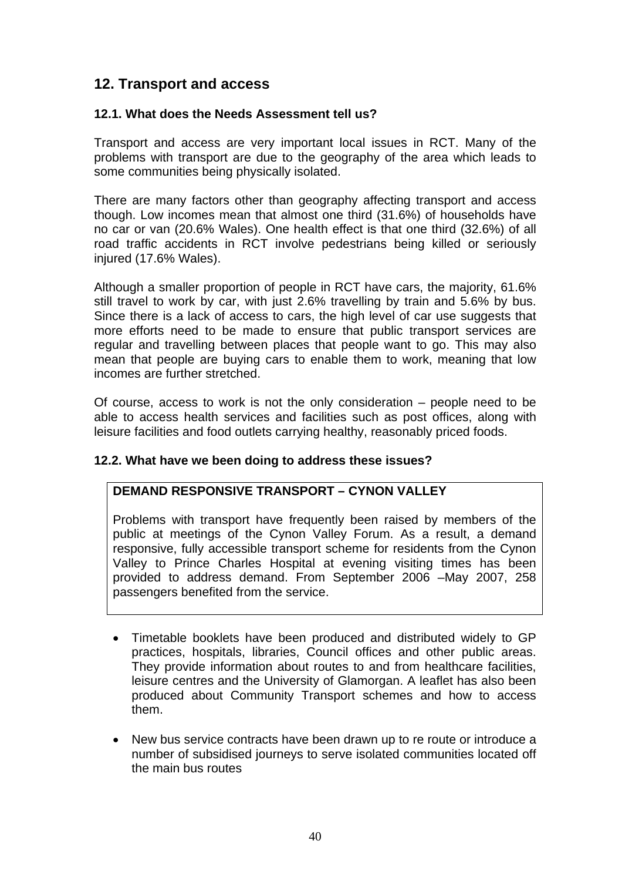# **12. Transport and access**

#### **12.1. What does the Needs Assessment tell us?**

Transport and access are very important local issues in RCT. Many of the problems with transport are due to the geography of the area which leads to some communities being physically isolated.

There are many factors other than geography affecting transport and access though. Low incomes mean that almost one third (31.6%) of households have no car or van (20.6% Wales). One health effect is that one third (32.6%) of all road traffic accidents in RCT involve pedestrians being killed or seriously injured (17.6% Wales).

Although a smaller proportion of people in RCT have cars, the majority, 61.6% still travel to work by car, with just 2.6% travelling by train and 5.6% by bus. Since there is a lack of access to cars, the high level of car use suggests that more efforts need to be made to ensure that public transport services are regular and travelling between places that people want to go. This may also mean that people are buying cars to enable them to work, meaning that low incomes are further stretched.

Of course, access to work is not the only consideration – people need to be able to access health services and facilities such as post offices, along with leisure facilities and food outlets carrying healthy, reasonably priced foods.

#### **12.2. What have we been doing to address these issues?**

### **DEMAND RESPONSIVE TRANSPORT – CYNON VALLEY**

Problems with transport have frequently been raised by members of the public at meetings of the Cynon Valley Forum. As a result, a demand responsive, fully accessible transport scheme for residents from the Cynon Valley to Prince Charles Hospital at evening visiting times has been provided to address demand. From September 2006 –May 2007, 258 passengers benefited from the service.

- Timetable booklets have been produced and distributed widely to GP practices, hospitals, libraries, Council offices and other public areas. They provide information about routes to and from healthcare facilities, leisure centres and the University of Glamorgan. A leaflet has also been produced about Community Transport schemes and how to access them.
- New bus service contracts have been drawn up to re route or introduce a number of subsidised journeys to serve isolated communities located off the main bus routes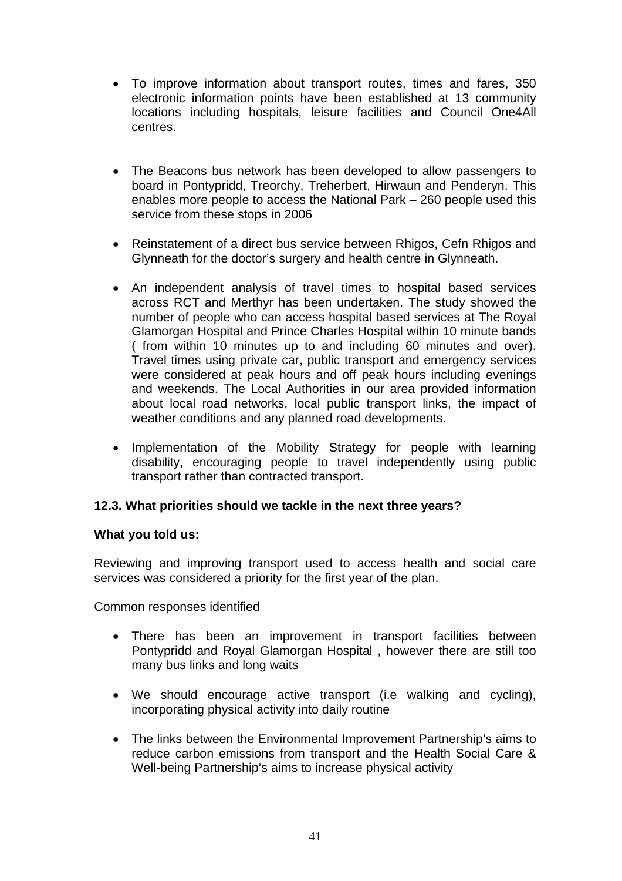- To improve information about transport routes, times and fares, 350 electronic information points have been established at 13 community locations including hospitals, leisure facilities and Council One4All centres.
- The Beacons bus network has been developed to allow passengers to board in Pontypridd, Treorchy, Treherbert, Hirwaun and Penderyn. This enables more people to access the National Park – 260 people used this service from these stops in 2006
- Reinstatement of a direct bus service between Rhigos, Cefn Rhigos and Glynneath for the doctor's surgery and health centre in Glynneath.
- An independent analysis of travel times to hospital based services across RCT and Merthyr has been undertaken. The study showed the number of people who can access hospital based services at The Royal Glamorgan Hospital and Prince Charles Hospital within 10 minute bands ( from within 10 minutes up to and including 60 minutes and over). Travel times using private car, public transport and emergency services were considered at peak hours and off peak hours including evenings and weekends. The Local Authorities in our area provided information about local road networks, local public transport links, the impact of weather conditions and any planned road developments.
- Implementation of the Mobility Strategy for people with learning disability, encouraging people to travel independently using public transport rather than contracted transport.

#### **12.3. What priorities should we tackle in the next three years?**

#### **What you told us:**

Reviewing and improving transport used to access health and social care services was considered a priority for the first year of the plan.

Common responses identified

- There has been an improvement in transport facilities between Pontypridd and Royal Glamorgan Hospital , however there are still too many bus links and long waits
- We should encourage active transport (i.e walking and cycling), incorporating physical activity into daily routine
- The links between the Environmental Improvement Partnership's aims to reduce carbon emissions from transport and the Health Social Care & Well-being Partnership's aims to increase physical activity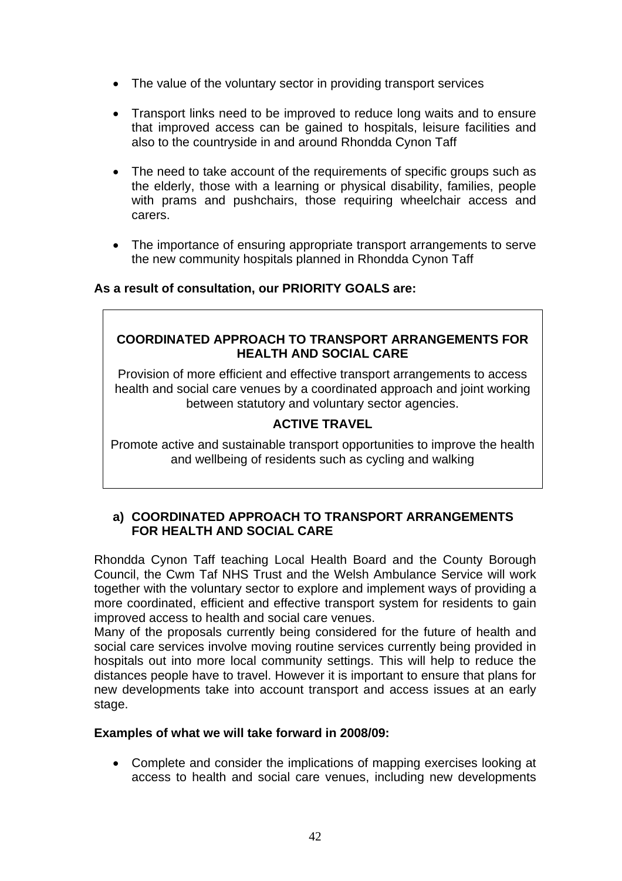- The value of the voluntary sector in providing transport services
- Transport links need to be improved to reduce long waits and to ensure that improved access can be gained to hospitals, leisure facilities and also to the countryside in and around Rhondda Cynon Taff
- The need to take account of the requirements of specific groups such as the elderly, those with a learning or physical disability, families, people with prams and pushchairs, those requiring wheelchair access and carers.
- The importance of ensuring appropriate transport arrangements to serve the new community hospitals planned in Rhondda Cynon Taff

#### **As a result of consultation, our PRIORITY GOALS are:**

#### **COORDINATED APPROACH TO TRANSPORT ARRANGEMENTS FOR HEALTH AND SOCIAL CARE**

Provision of more efficient and effective transport arrangements to access health and social care venues by a coordinated approach and joint working between statutory and voluntary sector agencies.

### **ACTIVE TRAVEL**

Promote active and sustainable transport opportunities to improve the health and wellbeing of residents such as cycling and walking

#### **a) COORDINATED APPROACH TO TRANSPORT ARRANGEMENTS FOR HEALTH AND SOCIAL CARE**

Rhondda Cynon Taff teaching Local Health Board and the County Borough Council, the Cwm Taf NHS Trust and the Welsh Ambulance Service will work together with the voluntary sector to explore and implement ways of providing a more coordinated, efficient and effective transport system for residents to gain improved access to health and social care venues.

Many of the proposals currently being considered for the future of health and social care services involve moving routine services currently being provided in hospitals out into more local community settings. This will help to reduce the distances people have to travel. However it is important to ensure that plans for new developments take into account transport and access issues at an early stage.

#### **Examples of what we will take forward in 2008/09:**

• Complete and consider the implications of mapping exercises looking at access to health and social care venues, including new developments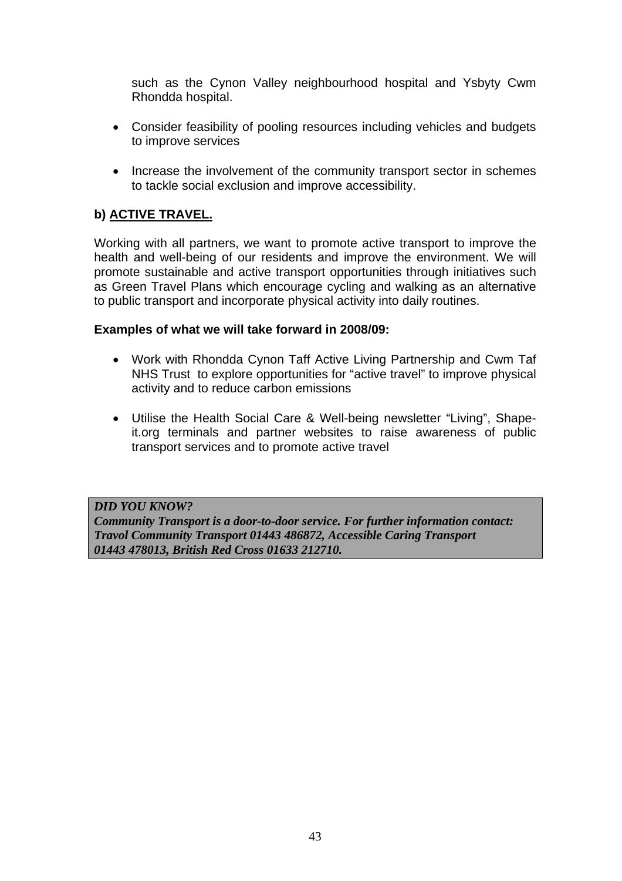such as the Cynon Valley neighbourhood hospital and Ysbyty Cwm Rhondda hospital.

- Consider feasibility of pooling resources including vehicles and budgets to improve services
- Increase the involvement of the community transport sector in schemes to tackle social exclusion and improve accessibility.

## **b) ACTIVE TRAVEL.**

Working with all partners, we want to promote active transport to improve the health and well-being of our residents and improve the environment. We will promote sustainable and active transport opportunities through initiatives such as Green Travel Plans which encourage cycling and walking as an alternative to public transport and incorporate physical activity into daily routines.

#### **Examples of what we will take forward in 2008/09:**

- Work with Rhondda Cynon Taff Active Living Partnership and Cwm Taf NHS Trust to explore opportunities for "active travel" to improve physical activity and to reduce carbon emissions
- Utilise the Health Social Care & Well-being newsletter "Living", Shapeit.org terminals and partner websites to raise awareness of public transport services and to promote active travel

#### *DID YOU KNOW?*

*Community Transport is a door-to-door service. For further information contact: Travol Community Transport 01443 486872, Accessible Caring Transport 01443 478013, British Red Cross 01633 212710.*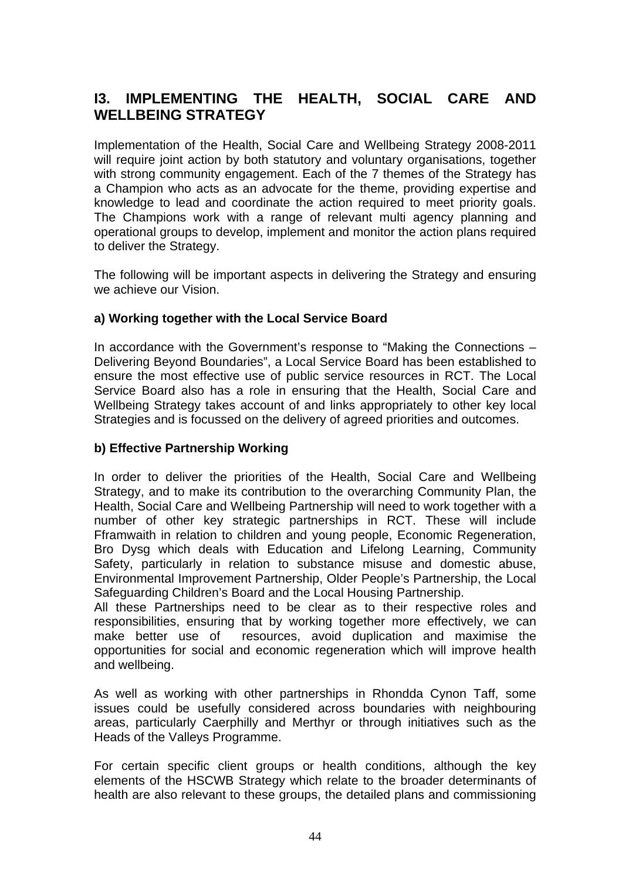# **I3. IMPLEMENTING THE HEALTH, SOCIAL CARE AND WELLBEING STRATEGY**

Implementation of the Health, Social Care and Wellbeing Strategy 2008-2011 will require joint action by both statutory and voluntary organisations, together with strong community engagement. Each of the 7 themes of the Strategy has a Champion who acts as an advocate for the theme, providing expertise and knowledge to lead and coordinate the action required to meet priority goals. The Champions work with a range of relevant multi agency planning and operational groups to develop, implement and monitor the action plans required to deliver the Strategy.

The following will be important aspects in delivering the Strategy and ensuring we achieve our Vision.

#### **a) Working together with the Local Service Board**

In accordance with the Government's response to "Making the Connections – Delivering Beyond Boundaries", a Local Service Board has been established to ensure the most effective use of public service resources in RCT. The Local Service Board also has a role in ensuring that the Health, Social Care and Wellbeing Strategy takes account of and links appropriately to other key local Strategies and is focussed on the delivery of agreed priorities and outcomes.

#### **b) Effective Partnership Working**

In order to deliver the priorities of the Health, Social Care and Wellbeing Strategy, and to make its contribution to the overarching Community Plan, the Health, Social Care and Wellbeing Partnership will need to work together with a number of other key strategic partnerships in RCT. These will include Fframwaith in relation to children and young people, Economic Regeneration, Bro Dysg which deals with Education and Lifelong Learning, Community Safety, particularly in relation to substance misuse and domestic abuse, Environmental Improvement Partnership, Older People's Partnership, the Local Safeguarding Children's Board and the Local Housing Partnership.

All these Partnerships need to be clear as to their respective roles and responsibilities, ensuring that by working together more effectively, we can make better use of resources, avoid duplication and maximise the opportunities for social and economic regeneration which will improve health and wellbeing.

As well as working with other partnerships in Rhondda Cynon Taff, some issues could be usefully considered across boundaries with neighbouring areas, particularly Caerphilly and Merthyr or through initiatives such as the Heads of the Valleys Programme.

For certain specific client groups or health conditions, although the key elements of the HSCWB Strategy which relate to the broader determinants of health are also relevant to these groups, the detailed plans and commissioning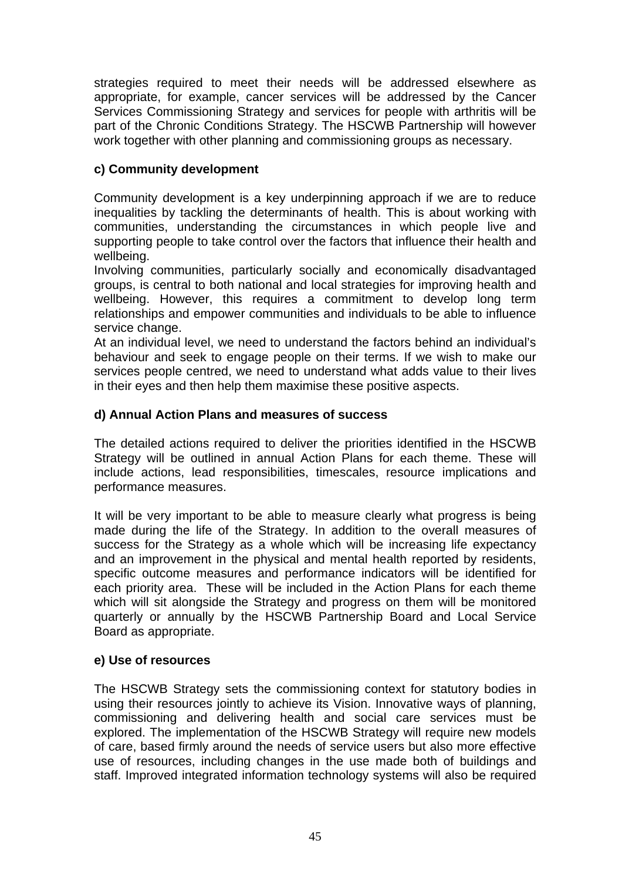strategies required to meet their needs will be addressed elsewhere as appropriate, for example, cancer services will be addressed by the Cancer Services Commissioning Strategy and services for people with arthritis will be part of the Chronic Conditions Strategy. The HSCWB Partnership will however work together with other planning and commissioning groups as necessary.

### **c) Community development**

Community development is a key underpinning approach if we are to reduce inequalities by tackling the determinants of health. This is about working with communities, understanding the circumstances in which people live and supporting people to take control over the factors that influence their health and wellbeing.

Involving communities, particularly socially and economically disadvantaged groups, is central to both national and local strategies for improving health and wellbeing. However, this requires a commitment to develop long term relationships and empower communities and individuals to be able to influence service change.

At an individual level, we need to understand the factors behind an individual's behaviour and seek to engage people on their terms. If we wish to make our services people centred, we need to understand what adds value to their lives in their eyes and then help them maximise these positive aspects.

#### **d) Annual Action Plans and measures of success**

The detailed actions required to deliver the priorities identified in the HSCWB Strategy will be outlined in annual Action Plans for each theme. These will include actions, lead responsibilities, timescales, resource implications and performance measures.

It will be very important to be able to measure clearly what progress is being made during the life of the Strategy. In addition to the overall measures of success for the Strategy as a whole which will be increasing life expectancy and an improvement in the physical and mental health reported by residents, specific outcome measures and performance indicators will be identified for each priority area. These will be included in the Action Plans for each theme which will sit alongside the Strategy and progress on them will be monitored quarterly or annually by the HSCWB Partnership Board and Local Service Board as appropriate.

#### **e) Use of resources**

The HSCWB Strategy sets the commissioning context for statutory bodies in using their resources jointly to achieve its Vision. Innovative ways of planning, commissioning and delivering health and social care services must be explored. The implementation of the HSCWB Strategy will require new models of care, based firmly around the needs of service users but also more effective use of resources, including changes in the use made both of buildings and staff. Improved integrated information technology systems will also be required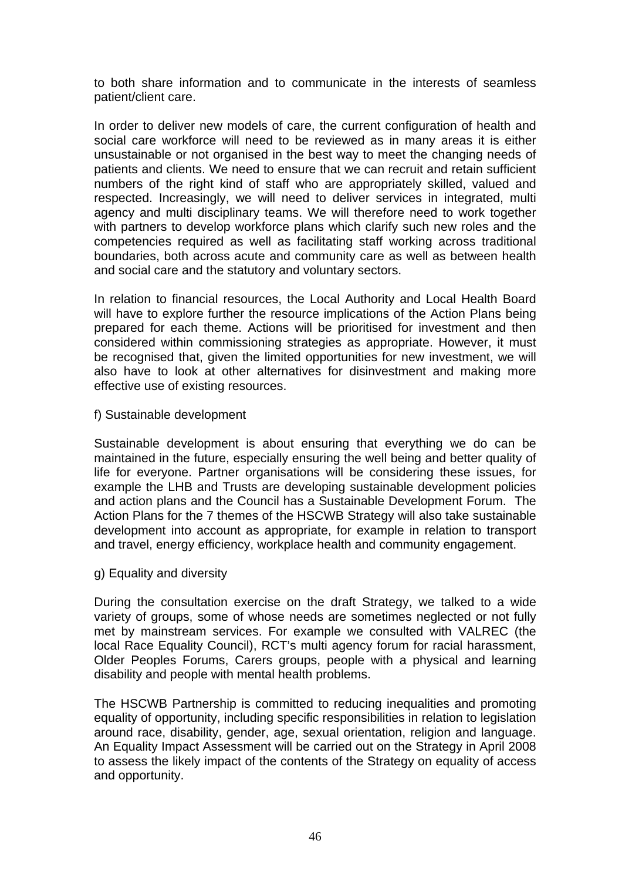to both share information and to communicate in the interests of seamless patient/client care.

In order to deliver new models of care, the current configuration of health and social care workforce will need to be reviewed as in many areas it is either unsustainable or not organised in the best way to meet the changing needs of patients and clients. We need to ensure that we can recruit and retain sufficient numbers of the right kind of staff who are appropriately skilled, valued and respected. Increasingly, we will need to deliver services in integrated, multi agency and multi disciplinary teams. We will therefore need to work together with partners to develop workforce plans which clarify such new roles and the competencies required as well as facilitating staff working across traditional boundaries, both across acute and community care as well as between health and social care and the statutory and voluntary sectors.

In relation to financial resources, the Local Authority and Local Health Board will have to explore further the resource implications of the Action Plans being prepared for each theme. Actions will be prioritised for investment and then considered within commissioning strategies as appropriate. However, it must be recognised that, given the limited opportunities for new investment, we will also have to look at other alternatives for disinvestment and making more effective use of existing resources.

f) Sustainable development

Sustainable development is about ensuring that everything we do can be maintained in the future, especially ensuring the well being and better quality of life for everyone. Partner organisations will be considering these issues, for example the LHB and Trusts are developing sustainable development policies and action plans and the Council has a Sustainable Development Forum. The Action Plans for the 7 themes of the HSCWB Strategy will also take sustainable development into account as appropriate, for example in relation to transport and travel, energy efficiency, workplace health and community engagement.

g) Equality and diversity

During the consultation exercise on the draft Strategy, we talked to a wide variety of groups, some of whose needs are sometimes neglected or not fully met by mainstream services. For example we consulted with VALREC (the local Race Equality Council), RCT's multi agency forum for racial harassment, Older Peoples Forums, Carers groups, people with a physical and learning disability and people with mental health problems.

The HSCWB Partnership is committed to reducing inequalities and promoting equality of opportunity, including specific responsibilities in relation to legislation around race, disability, gender, age, sexual orientation, religion and language. An Equality Impact Assessment will be carried out on the Strategy in April 2008 to assess the likely impact of the contents of the Strategy on equality of access and opportunity.